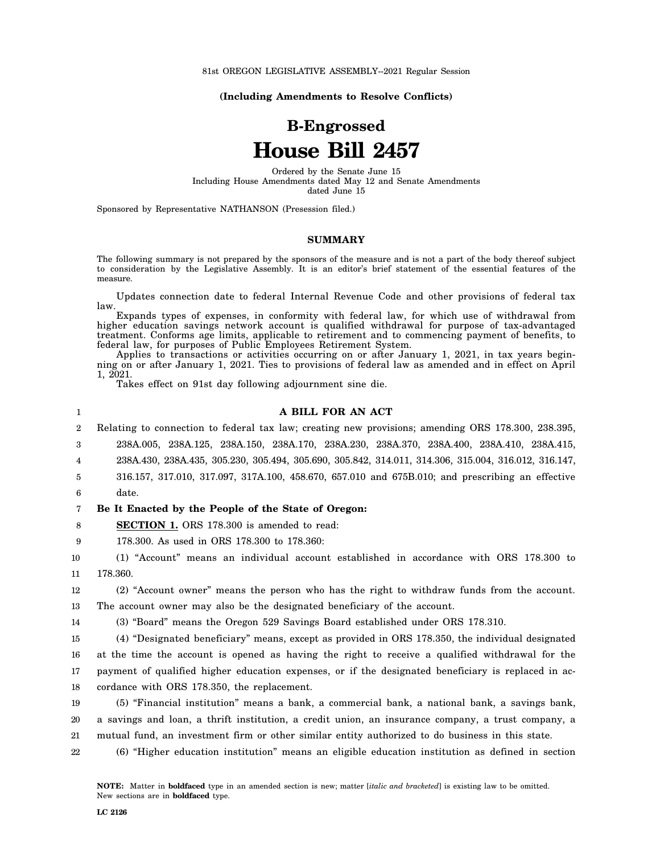81st OREGON LEGISLATIVE ASSEMBLY--2021 Regular Session

**(Including Amendments to Resolve Conflicts)**

# **B-Engrossed House Bill 2457**

Ordered by the Senate June 15 Including House Amendments dated May 12 and Senate Amendments dated June 15

Sponsored by Representative NATHANSON (Presession filed.)

#### **SUMMARY**

The following summary is not prepared by the sponsors of the measure and is not a part of the body thereof subject to consideration by the Legislative Assembly. It is an editor's brief statement of the essential features of the measure.

Updates connection date to federal Internal Revenue Code and other provisions of federal tax law.

Expands types of expenses, in conformity with federal law, for which use of withdrawal from higher education savings network account is qualified withdrawal for purpose of tax-advantaged treatment. Conforms age limits, applicable to retirement and to commencing payment of benefits, to federal law, for purposes of Public Employees Retirement System.

Applies to transactions or activities occurring on or after January 1, 2021, in tax years beginning on or after January 1, 2021. Ties to provisions of federal law as amended and in effect on April 1, 2021.

Takes effect on 91st day following adjournment sine die.

|    | A BILL FOR AN ACT                                                                                    |
|----|------------------------------------------------------------------------------------------------------|
| 2  | Relating to connection to federal tax law; creating new provisions; amending ORS 178,300, 238,395,   |
| 3  | 238A.005, 238A.125, 238A.150, 238A.170, 238A.230, 238A.370, 238A.400, 238A.410, 238A.415,            |
| 4  | 238A.430, 238A.435, 305.230, 305.494, 305.690, 305.842, 314.011, 314.306, 315.004, 316.012, 316.147, |
| 5. | 316.157, 317.010, 317.097, 317A.100, 458.670, 657.010 and 675B.010; and prescribing an effective     |
| 6  | date.                                                                                                |

#### 7 **Be It Enacted by the People of the State of Oregon:**

8 **SECTION 1.** ORS 178.300 is amended to read:

9 178.300. As used in ORS 178.300 to 178.360:

10 11 (1) "Account" means an individual account established in accordance with ORS 178.300 to 178.360.

12 13 (2) "Account owner" means the person who has the right to withdraw funds from the account. The account owner may also be the designated beneficiary of the account.

14 (3) "Board" means the Oregon 529 Savings Board established under ORS 178.310.

15 16 17 18 (4) "Designated beneficiary" means, except as provided in ORS 178.350, the individual designated at the time the account is opened as having the right to receive a qualified withdrawal for the payment of qualified higher education expenses, or if the designated beneficiary is replaced in accordance with ORS 178.350, the replacement.

19 20 21 (5) "Financial institution" means a bank, a commercial bank, a national bank, a savings bank, a savings and loan, a thrift institution, a credit union, an insurance company, a trust company, a mutual fund, an investment firm or other similar entity authorized to do business in this state.

22 (6) "Higher education institution" means an eligible education institution as defined in section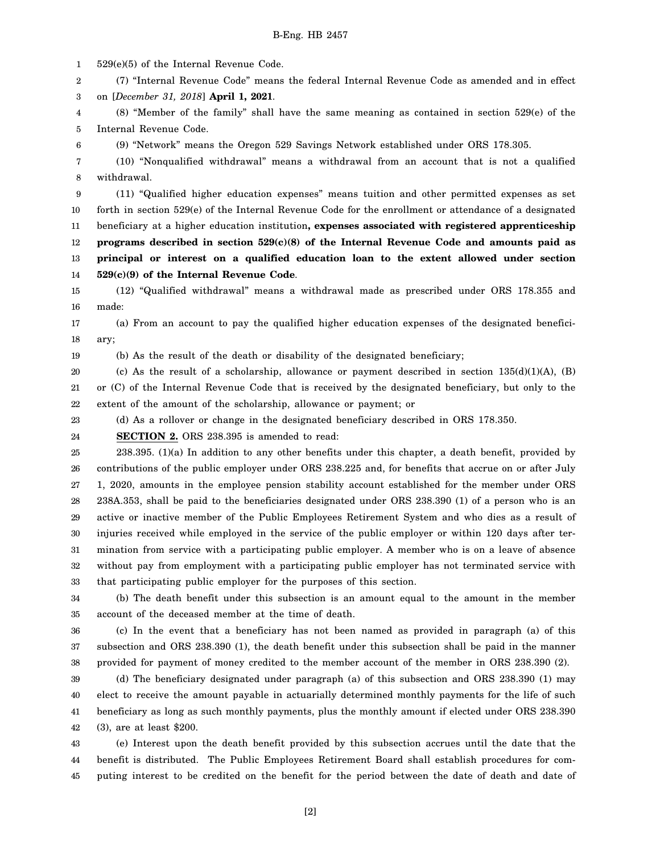1 529(e)(5) of the Internal Revenue Code.

2 (7) "Internal Revenue Code" means the federal Internal Revenue Code as amended and in effect

3 on [*December 31, 2018*] **April 1, 2021**.

4 5 (8) "Member of the family" shall have the same meaning as contained in section 529(e) of the Internal Revenue Code.

6 (9) "Network" means the Oregon 529 Savings Network established under ORS 178.305.

7 8 (10) "Nonqualified withdrawal" means a withdrawal from an account that is not a qualified withdrawal.

9 10 11 12 13 14 (11) "Qualified higher education expenses" means tuition and other permitted expenses as set forth in section 529(e) of the Internal Revenue Code for the enrollment or attendance of a designated beneficiary at a higher education institution**, expenses associated with registered apprenticeship programs described in section 529(c)(8) of the Internal Revenue Code and amounts paid as principal or interest on a qualified education loan to the extent allowed under section 529(c)(9) of the Internal Revenue Code**.

15 16 (12) "Qualified withdrawal" means a withdrawal made as prescribed under ORS 178.355 and made:

17 18 (a) From an account to pay the qualified higher education expenses of the designated beneficiary;

19

(b) As the result of the death or disability of the designated beneficiary;

20 21 22 (c) As the result of a scholarship, allowance or payment described in section  $135(d)(1)(A)$ , (B) or (C) of the Internal Revenue Code that is received by the designated beneficiary, but only to the extent of the amount of the scholarship, allowance or payment; or

23 (d) As a rollover or change in the designated beneficiary described in ORS 178.350.

24 **SECTION 2.** ORS 238.395 is amended to read:

25 26 27 28 29 30 31 32 33 238.395. (1)(a) In addition to any other benefits under this chapter, a death benefit, provided by contributions of the public employer under ORS 238.225 and, for benefits that accrue on or after July 1, 2020, amounts in the employee pension stability account established for the member under ORS 238A.353, shall be paid to the beneficiaries designated under ORS 238.390 (1) of a person who is an active or inactive member of the Public Employees Retirement System and who dies as a result of injuries received while employed in the service of the public employer or within 120 days after termination from service with a participating public employer. A member who is on a leave of absence without pay from employment with a participating public employer has not terminated service with that participating public employer for the purposes of this section.

34 35 (b) The death benefit under this subsection is an amount equal to the amount in the member account of the deceased member at the time of death.

36 37 38 (c) In the event that a beneficiary has not been named as provided in paragraph (a) of this subsection and ORS 238.390 (1), the death benefit under this subsection shall be paid in the manner provided for payment of money credited to the member account of the member in ORS 238.390 (2).

39 40 41 42 (d) The beneficiary designated under paragraph (a) of this subsection and ORS 238.390 (1) may elect to receive the amount payable in actuarially determined monthly payments for the life of such beneficiary as long as such monthly payments, plus the monthly amount if elected under ORS 238.390 (3), are at least \$200.

43 44 45 (e) Interest upon the death benefit provided by this subsection accrues until the date that the benefit is distributed. The Public Employees Retirement Board shall establish procedures for computing interest to be credited on the benefit for the period between the date of death and date of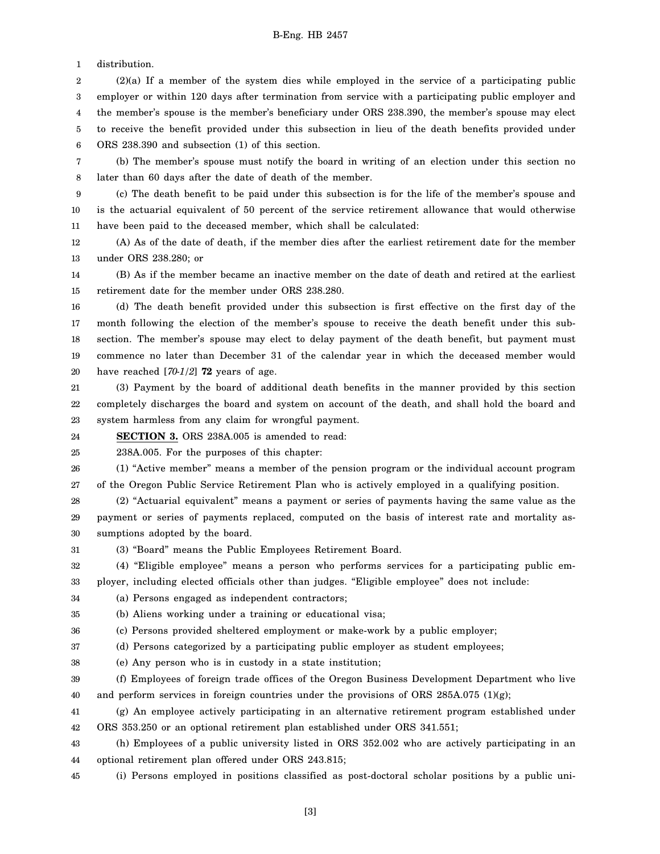1 distribution.

2 3 4 5 6 (2)(a) If a member of the system dies while employed in the service of a participating public employer or within 120 days after termination from service with a participating public employer and the member's spouse is the member's beneficiary under ORS 238.390, the member's spouse may elect to receive the benefit provided under this subsection in lieu of the death benefits provided under ORS 238.390 and subsection (1) of this section.

7 8 (b) The member's spouse must notify the board in writing of an election under this section no later than 60 days after the date of death of the member.

9 10 11 (c) The death benefit to be paid under this subsection is for the life of the member's spouse and is the actuarial equivalent of 50 percent of the service retirement allowance that would otherwise have been paid to the deceased member, which shall be calculated:

12 13 (A) As of the date of death, if the member dies after the earliest retirement date for the member under ORS 238.280; or

14 15 (B) As if the member became an inactive member on the date of death and retired at the earliest retirement date for the member under ORS 238.280.

16 17 18 19 20 (d) The death benefit provided under this subsection is first effective on the first day of the month following the election of the member's spouse to receive the death benefit under this subsection. The member's spouse may elect to delay payment of the death benefit, but payment must commence no later than December 31 of the calendar year in which the deceased member would have reached [*70-1/2*] **72** years of age.

21 22 23 (3) Payment by the board of additional death benefits in the manner provided by this section completely discharges the board and system on account of the death, and shall hold the board and system harmless from any claim for wrongful payment.

24 **SECTION 3.** ORS 238A.005 is amended to read:

25 238A.005. For the purposes of this chapter:

26 27 (1) "Active member" means a member of the pension program or the individual account program of the Oregon Public Service Retirement Plan who is actively employed in a qualifying position.

28 29 30 (2) "Actuarial equivalent" means a payment or series of payments having the same value as the payment or series of payments replaced, computed on the basis of interest rate and mortality assumptions adopted by the board.

31 (3) "Board" means the Public Employees Retirement Board.

32 (4) "Eligible employee" means a person who performs services for a participating public em-

33 ployer, including elected officials other than judges. "Eligible employee" does not include:

34 (a) Persons engaged as independent contractors;

```
35
(b) Aliens working under a training or educational visa;
```
36 (c) Persons provided sheltered employment or make-work by a public employer;

37 (d) Persons categorized by a participating public employer as student employees;

38 (e) Any person who is in custody in a state institution;

39 40 (f) Employees of foreign trade offices of the Oregon Business Development Department who live and perform services in foreign countries under the provisions of ORS  $285A.075$  (1)(g);

41 42 (g) An employee actively participating in an alternative retirement program established under ORS 353.250 or an optional retirement plan established under ORS 341.551;

43 44 (h) Employees of a public university listed in ORS 352.002 who are actively participating in an optional retirement plan offered under ORS 243.815;

45 (i) Persons employed in positions classified as post-doctoral scholar positions by a public uni-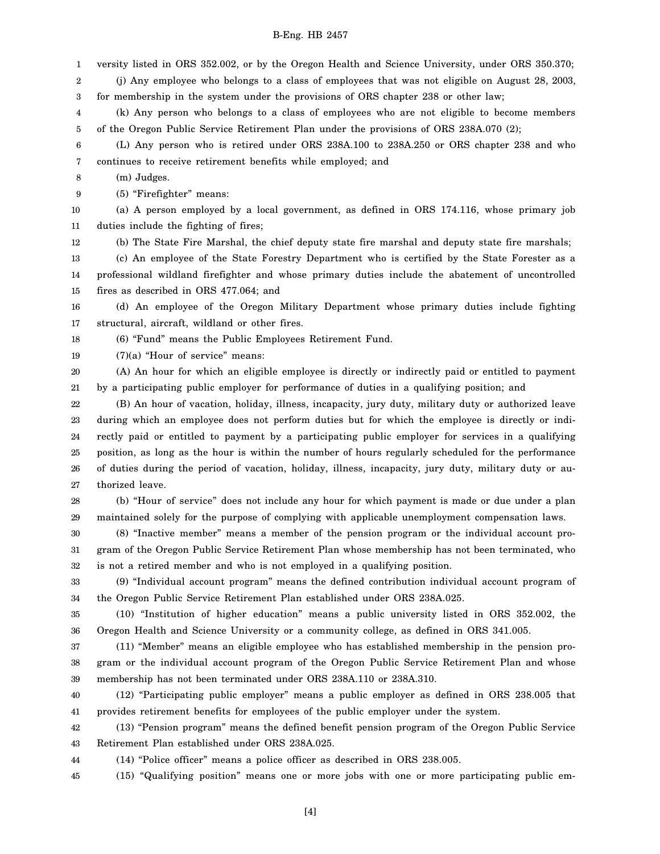1 versity listed in ORS 352.002, or by the Oregon Health and Science University, under ORS 350.370;

2 (j) Any employee who belongs to a class of employees that was not eligible on August 28, 2003,

3 for membership in the system under the provisions of ORS chapter 238 or other law;

4 5 (k) Any person who belongs to a class of employees who are not eligible to become members of the Oregon Public Service Retirement Plan under the provisions of ORS 238A.070 (2);

6 7 (L) Any person who is retired under ORS 238A.100 to 238A.250 or ORS chapter 238 and who continues to receive retirement benefits while employed; and

8 (m) Judges.

9 (5) "Firefighter" means:

10 11 (a) A person employed by a local government, as defined in ORS 174.116, whose primary job duties include the fighting of fires;

12 (b) The State Fire Marshal, the chief deputy state fire marshal and deputy state fire marshals;

13 14 15 (c) An employee of the State Forestry Department who is certified by the State Forester as a professional wildland firefighter and whose primary duties include the abatement of uncontrolled fires as described in ORS 477.064; and

16 17 (d) An employee of the Oregon Military Department whose primary duties include fighting structural, aircraft, wildland or other fires.

18 (6) "Fund" means the Public Employees Retirement Fund.

19 (7)(a) "Hour of service" means:

20 21 (A) An hour for which an eligible employee is directly or indirectly paid or entitled to payment by a participating public employer for performance of duties in a qualifying position; and

22 23 24 25 26 27 (B) An hour of vacation, holiday, illness, incapacity, jury duty, military duty or authorized leave during which an employee does not perform duties but for which the employee is directly or indirectly paid or entitled to payment by a participating public employer for services in a qualifying position, as long as the hour is within the number of hours regularly scheduled for the performance of duties during the period of vacation, holiday, illness, incapacity, jury duty, military duty or authorized leave.

28 29 (b) "Hour of service" does not include any hour for which payment is made or due under a plan maintained solely for the purpose of complying with applicable unemployment compensation laws.

30 31 32 (8) "Inactive member" means a member of the pension program or the individual account program of the Oregon Public Service Retirement Plan whose membership has not been terminated, who is not a retired member and who is not employed in a qualifying position.

33 34 (9) "Individual account program" means the defined contribution individual account program of the Oregon Public Service Retirement Plan established under ORS 238A.025.

35 36 (10) "Institution of higher education" means a public university listed in ORS 352.002, the Oregon Health and Science University or a community college, as defined in ORS 341.005.

37 38 39 (11) "Member" means an eligible employee who has established membership in the pension program or the individual account program of the Oregon Public Service Retirement Plan and whose membership has not been terminated under ORS 238A.110 or 238A.310.

40 41 (12) "Participating public employer" means a public employer as defined in ORS 238.005 that provides retirement benefits for employees of the public employer under the system.

42 43 (13) "Pension program" means the defined benefit pension program of the Oregon Public Service Retirement Plan established under ORS 238A.025.

44 (14) "Police officer" means a police officer as described in ORS 238.005.

45 (15) "Qualifying position" means one or more jobs with one or more participating public em-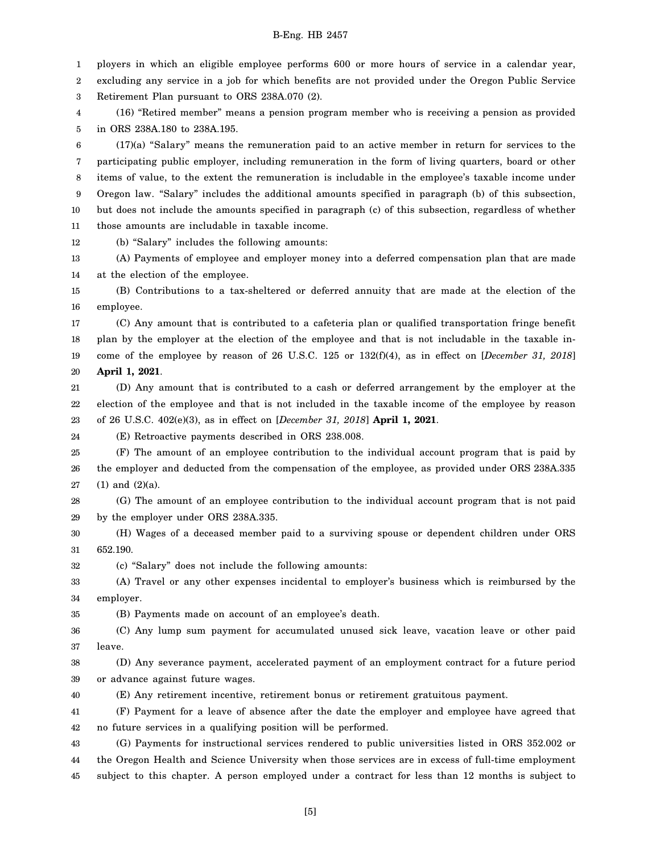1 ployers in which an eligible employee performs 600 or more hours of service in a calendar year,

2 excluding any service in a job for which benefits are not provided under the Oregon Public Service

3 Retirement Plan pursuant to ORS 238A.070 (2).

4 5 (16) "Retired member" means a pension program member who is receiving a pension as provided in ORS 238A.180 to 238A.195.

6 7 8 9 10 11 (17)(a) "Salary" means the remuneration paid to an active member in return for services to the participating public employer, including remuneration in the form of living quarters, board or other items of value, to the extent the remuneration is includable in the employee's taxable income under Oregon law. "Salary" includes the additional amounts specified in paragraph (b) of this subsection, but does not include the amounts specified in paragraph (c) of this subsection, regardless of whether those amounts are includable in taxable income.

12 (b) "Salary" includes the following amounts:

13 14 (A) Payments of employee and employer money into a deferred compensation plan that are made at the election of the employee.

15 16 (B) Contributions to a tax-sheltered or deferred annuity that are made at the election of the employee.

17 18 19 20 (C) Any amount that is contributed to a cafeteria plan or qualified transportation fringe benefit plan by the employer at the election of the employee and that is not includable in the taxable income of the employee by reason of 26 U.S.C. 125 or 132(f)(4), as in effect on [*December 31, 2018*] **April 1, 2021**.

21 22 23 (D) Any amount that is contributed to a cash or deferred arrangement by the employer at the election of the employee and that is not included in the taxable income of the employee by reason of 26 U.S.C. 402(e)(3), as in effect on [*December 31, 2018*] **April 1, 2021**.

24 (E) Retroactive payments described in ORS 238.008.

25 26 27 (F) The amount of an employee contribution to the individual account program that is paid by the employer and deducted from the compensation of the employee, as provided under ORS 238A.335 (1) and (2)(a).

28 29 (G) The amount of an employee contribution to the individual account program that is not paid by the employer under ORS 238A.335.

30 31 (H) Wages of a deceased member paid to a surviving spouse or dependent children under ORS 652.190.

(c) "Salary" does not include the following amounts:

32

35

33 34 (A) Travel or any other expenses incidental to employer's business which is reimbursed by the employer.

(B) Payments made on account of an employee's death.

36 37 (C) Any lump sum payment for accumulated unused sick leave, vacation leave or other paid leave.

38 39 (D) Any severance payment, accelerated payment of an employment contract for a future period or advance against future wages.

40 (E) Any retirement incentive, retirement bonus or retirement gratuitous payment.

41 42 (F) Payment for a leave of absence after the date the employer and employee have agreed that no future services in a qualifying position will be performed.

43 44 45 (G) Payments for instructional services rendered to public universities listed in ORS 352.002 or the Oregon Health and Science University when those services are in excess of full-time employment subject to this chapter. A person employed under a contract for less than 12 months is subject to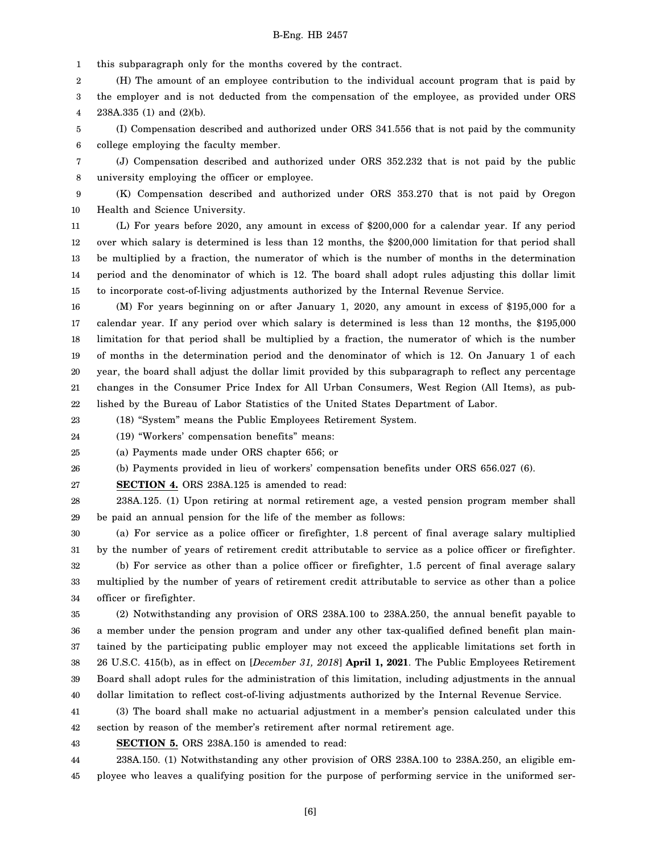1 this subparagraph only for the months covered by the contract.

2 3 4 (H) The amount of an employee contribution to the individual account program that is paid by the employer and is not deducted from the compensation of the employee, as provided under ORS 238A.335 (1) and (2)(b).

5 6 (I) Compensation described and authorized under ORS 341.556 that is not paid by the community college employing the faculty member.

7 8 (J) Compensation described and authorized under ORS 352.232 that is not paid by the public university employing the officer or employee.

9 10 (K) Compensation described and authorized under ORS 353.270 that is not paid by Oregon Health and Science University.

11 12 13 14 15 (L) For years before 2020, any amount in excess of \$200,000 for a calendar year. If any period over which salary is determined is less than 12 months, the \$200,000 limitation for that period shall be multiplied by a fraction, the numerator of which is the number of months in the determination period and the denominator of which is 12. The board shall adopt rules adjusting this dollar limit to incorporate cost-of-living adjustments authorized by the Internal Revenue Service.

16 17 18 19 20 21 22 (M) For years beginning on or after January 1, 2020, any amount in excess of \$195,000 for a calendar year. If any period over which salary is determined is less than 12 months, the \$195,000 limitation for that period shall be multiplied by a fraction, the numerator of which is the number of months in the determination period and the denominator of which is 12. On January 1 of each year, the board shall adjust the dollar limit provided by this subparagraph to reflect any percentage changes in the Consumer Price Index for All Urban Consumers, West Region (All Items), as published by the Bureau of Labor Statistics of the United States Department of Labor.

23 (18) "System" means the Public Employees Retirement System.

24 (19) "Workers' compensation benefits" means:

25 (a) Payments made under ORS chapter 656; or

26 (b) Payments provided in lieu of workers' compensation benefits under ORS 656.027 (6).

27 **SECTION 4.** ORS 238A.125 is amended to read:

28 29 238A.125. (1) Upon retiring at normal retirement age, a vested pension program member shall be paid an annual pension for the life of the member as follows:

30 31 32 33 34 (a) For service as a police officer or firefighter, 1.8 percent of final average salary multiplied by the number of years of retirement credit attributable to service as a police officer or firefighter. (b) For service as other than a police officer or firefighter, 1.5 percent of final average salary multiplied by the number of years of retirement credit attributable to service as other than a police officer or firefighter.

35 36 37 38 39 40 (2) Notwithstanding any provision of ORS 238A.100 to 238A.250, the annual benefit payable to a member under the pension program and under any other tax-qualified defined benefit plan maintained by the participating public employer may not exceed the applicable limitations set forth in 26 U.S.C. 415(b), as in effect on [*December 31, 2018*] **April 1, 2021**. The Public Employees Retirement Board shall adopt rules for the administration of this limitation, including adjustments in the annual dollar limitation to reflect cost-of-living adjustments authorized by the Internal Revenue Service.

41 42 (3) The board shall make no actuarial adjustment in a member's pension calculated under this section by reason of the member's retirement after normal retirement age.

43 **SECTION 5.** ORS 238A.150 is amended to read:

44 45 238A.150. (1) Notwithstanding any other provision of ORS 238A.100 to 238A.250, an eligible employee who leaves a qualifying position for the purpose of performing service in the uniformed ser-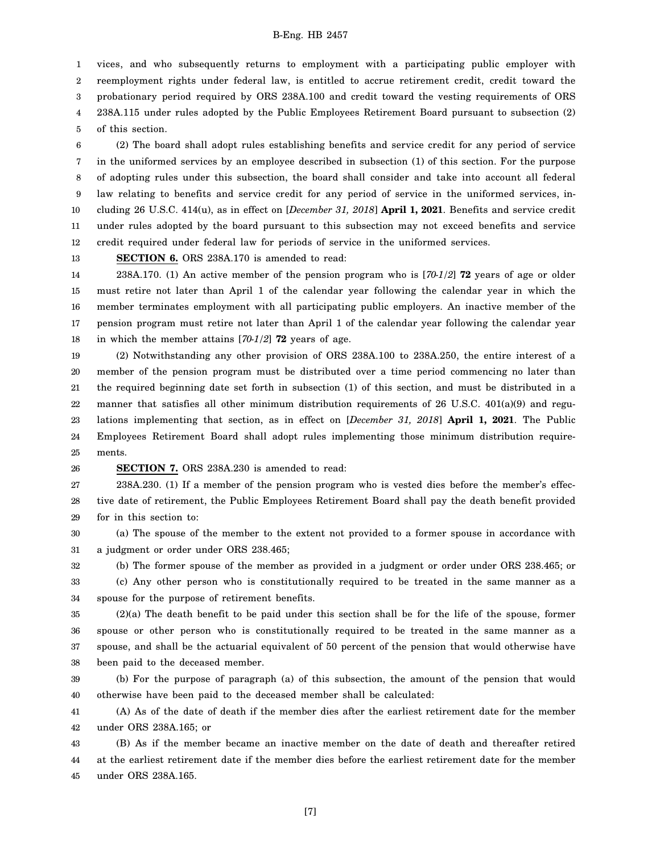1 2 3 4 5 vices, and who subsequently returns to employment with a participating public employer with reemployment rights under federal law, is entitled to accrue retirement credit, credit toward the probationary period required by ORS 238A.100 and credit toward the vesting requirements of ORS 238A.115 under rules adopted by the Public Employees Retirement Board pursuant to subsection (2) of this section.

6 7 8 9 10 11 12 (2) The board shall adopt rules establishing benefits and service credit for any period of service in the uniformed services by an employee described in subsection (1) of this section. For the purpose of adopting rules under this subsection, the board shall consider and take into account all federal law relating to benefits and service credit for any period of service in the uniformed services, including 26 U.S.C. 414(u), as in effect on [*December 31, 2018*] **April 1, 2021**. Benefits and service credit under rules adopted by the board pursuant to this subsection may not exceed benefits and service credit required under federal law for periods of service in the uniformed services.

13

**SECTION 6.** ORS 238A.170 is amended to read:

14 15 16 17 18 238A.170. (1) An active member of the pension program who is [*70-1/2*] **72** years of age or older must retire not later than April 1 of the calendar year following the calendar year in which the member terminates employment with all participating public employers. An inactive member of the pension program must retire not later than April 1 of the calendar year following the calendar year in which the member attains [*70-1/2*] **72** years of age.

19 20 21 22 23 24 25 (2) Notwithstanding any other provision of ORS 238A.100 to 238A.250, the entire interest of a member of the pension program must be distributed over a time period commencing no later than the required beginning date set forth in subsection (1) of this section, and must be distributed in a manner that satisfies all other minimum distribution requirements of 26 U.S.C. 401(a)(9) and regulations implementing that section, as in effect on [*December 31, 2018*] **April 1, 2021**. The Public Employees Retirement Board shall adopt rules implementing those minimum distribution requirements.

26

#### **SECTION 7.** ORS 238A.230 is amended to read:

27 28 29 238A.230. (1) If a member of the pension program who is vested dies before the member's effective date of retirement, the Public Employees Retirement Board shall pay the death benefit provided for in this section to:

30 31 (a) The spouse of the member to the extent not provided to a former spouse in accordance with a judgment or order under ORS 238.465;

32 33 34 (b) The former spouse of the member as provided in a judgment or order under ORS 238.465; or (c) Any other person who is constitutionally required to be treated in the same manner as a spouse for the purpose of retirement benefits.

35 36 37 38 (2)(a) The death benefit to be paid under this section shall be for the life of the spouse, former spouse or other person who is constitutionally required to be treated in the same manner as a spouse, and shall be the actuarial equivalent of 50 percent of the pension that would otherwise have been paid to the deceased member.

39 40 (b) For the purpose of paragraph (a) of this subsection, the amount of the pension that would otherwise have been paid to the deceased member shall be calculated:

41 42 (A) As of the date of death if the member dies after the earliest retirement date for the member under ORS 238A.165; or

43 44 45 (B) As if the member became an inactive member on the date of death and thereafter retired at the earliest retirement date if the member dies before the earliest retirement date for the member under ORS 238A.165.

[7]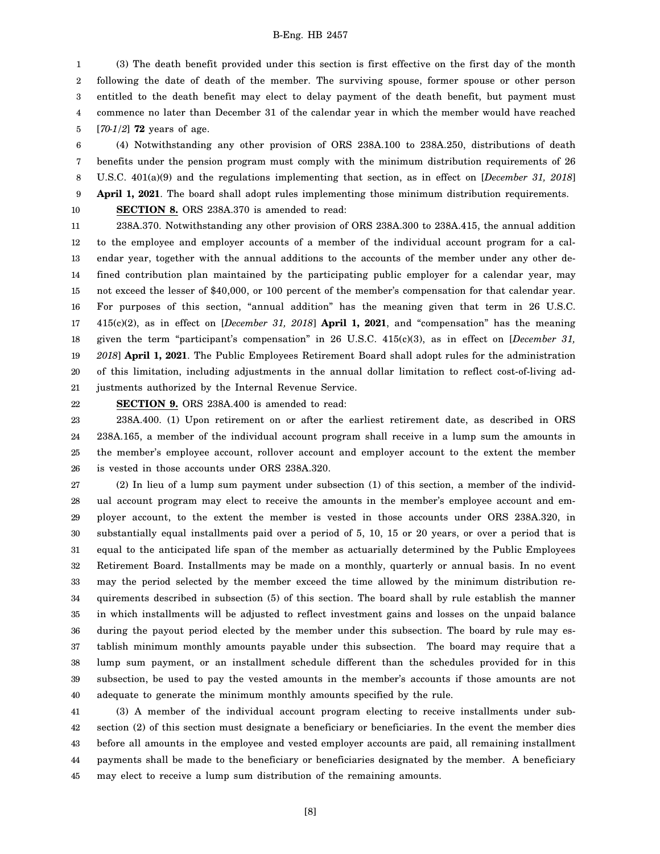1 2 3 4 5 (3) The death benefit provided under this section is first effective on the first day of the month following the date of death of the member. The surviving spouse, former spouse or other person entitled to the death benefit may elect to delay payment of the death benefit, but payment must commence no later than December 31 of the calendar year in which the member would have reached [*70-1/2*] **72** years of age.

6 7 8 9 (4) Notwithstanding any other provision of ORS 238A.100 to 238A.250, distributions of death benefits under the pension program must comply with the minimum distribution requirements of 26 U.S.C. 401(a)(9) and the regulations implementing that section, as in effect on [*December 31, 2018*] **April 1, 2021**. The board shall adopt rules implementing those minimum distribution requirements. **SECTION 8.** ORS 238A.370 is amended to read:

10

11 12 13 14 15 16 17 18 19 20 21 238A.370. Notwithstanding any other provision of ORS 238A.300 to 238A.415, the annual addition to the employee and employer accounts of a member of the individual account program for a calendar year, together with the annual additions to the accounts of the member under any other defined contribution plan maintained by the participating public employer for a calendar year, may not exceed the lesser of \$40,000, or 100 percent of the member's compensation for that calendar year. For purposes of this section, "annual addition" has the meaning given that term in 26 U.S.C. 415(c)(2), as in effect on [*December 31, 2018*] **April 1, 2021**, and "compensation" has the meaning given the term "participant's compensation" in 26 U.S.C. 415(c)(3), as in effect on [*December 31, 2018*] **April 1, 2021**. The Public Employees Retirement Board shall adopt rules for the administration of this limitation, including adjustments in the annual dollar limitation to reflect cost-of-living adjustments authorized by the Internal Revenue Service.

22

**SECTION 9.** ORS 238A.400 is amended to read:

23 24 25 26 238A.400. (1) Upon retirement on or after the earliest retirement date, as described in ORS 238A.165, a member of the individual account program shall receive in a lump sum the amounts in the member's employee account, rollover account and employer account to the extent the member is vested in those accounts under ORS 238A.320.

27 28 29 30 31 32 33 34 35 36 37 38 39 40 (2) In lieu of a lump sum payment under subsection (1) of this section, a member of the individual account program may elect to receive the amounts in the member's employee account and employer account, to the extent the member is vested in those accounts under ORS 238A.320, in substantially equal installments paid over a period of 5, 10, 15 or 20 years, or over a period that is equal to the anticipated life span of the member as actuarially determined by the Public Employees Retirement Board. Installments may be made on a monthly, quarterly or annual basis. In no event may the period selected by the member exceed the time allowed by the minimum distribution requirements described in subsection (5) of this section. The board shall by rule establish the manner in which installments will be adjusted to reflect investment gains and losses on the unpaid balance during the payout period elected by the member under this subsection. The board by rule may establish minimum monthly amounts payable under this subsection. The board may require that a lump sum payment, or an installment schedule different than the schedules provided for in this subsection, be used to pay the vested amounts in the member's accounts if those amounts are not adequate to generate the minimum monthly amounts specified by the rule.

41 42 43 44 45 (3) A member of the individual account program electing to receive installments under subsection (2) of this section must designate a beneficiary or beneficiaries. In the event the member dies before all amounts in the employee and vested employer accounts are paid, all remaining installment payments shall be made to the beneficiary or beneficiaries designated by the member. A beneficiary may elect to receive a lump sum distribution of the remaining amounts.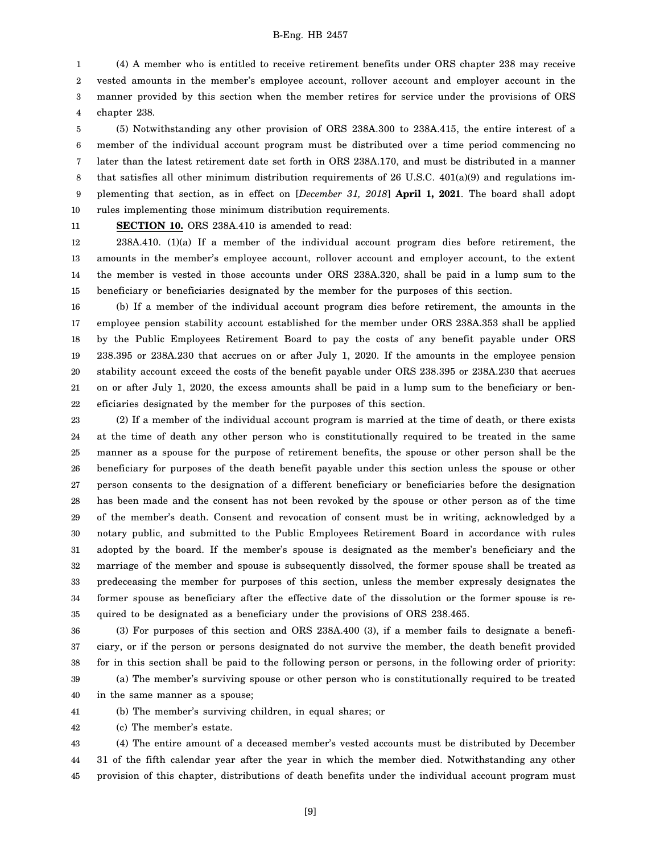1 2 3 4 (4) A member who is entitled to receive retirement benefits under ORS chapter 238 may receive vested amounts in the member's employee account, rollover account and employer account in the manner provided by this section when the member retires for service under the provisions of ORS chapter 238.

5 6 7 8 9 10 (5) Notwithstanding any other provision of ORS 238A.300 to 238A.415, the entire interest of a member of the individual account program must be distributed over a time period commencing no later than the latest retirement date set forth in ORS 238A.170, and must be distributed in a manner that satisfies all other minimum distribution requirements of 26 U.S.C. 401(a)(9) and regulations implementing that section, as in effect on [*December 31, 2018*] **April 1, 2021**. The board shall adopt rules implementing those minimum distribution requirements.

11

# **SECTION 10.** ORS 238A.410 is amended to read:

12 13 14 15 238A.410. (1)(a) If a member of the individual account program dies before retirement, the amounts in the member's employee account, rollover account and employer account, to the extent the member is vested in those accounts under ORS 238A.320, shall be paid in a lump sum to the beneficiary or beneficiaries designated by the member for the purposes of this section.

16 17 18 19 20 21 22 (b) If a member of the individual account program dies before retirement, the amounts in the employee pension stability account established for the member under ORS 238A.353 shall be applied by the Public Employees Retirement Board to pay the costs of any benefit payable under ORS 238.395 or 238A.230 that accrues on or after July 1, 2020. If the amounts in the employee pension stability account exceed the costs of the benefit payable under ORS 238.395 or 238A.230 that accrues on or after July 1, 2020, the excess amounts shall be paid in a lump sum to the beneficiary or beneficiaries designated by the member for the purposes of this section.

23 24 25 26 27 28 29 30 31 32 33 34 35 (2) If a member of the individual account program is married at the time of death, or there exists at the time of death any other person who is constitutionally required to be treated in the same manner as a spouse for the purpose of retirement benefits, the spouse or other person shall be the beneficiary for purposes of the death benefit payable under this section unless the spouse or other person consents to the designation of a different beneficiary or beneficiaries before the designation has been made and the consent has not been revoked by the spouse or other person as of the time of the member's death. Consent and revocation of consent must be in writing, acknowledged by a notary public, and submitted to the Public Employees Retirement Board in accordance with rules adopted by the board. If the member's spouse is designated as the member's beneficiary and the marriage of the member and spouse is subsequently dissolved, the former spouse shall be treated as predeceasing the member for purposes of this section, unless the member expressly designates the former spouse as beneficiary after the effective date of the dissolution or the former spouse is required to be designated as a beneficiary under the provisions of ORS 238.465.

36 37 38 39 40 (3) For purposes of this section and ORS 238A.400 (3), if a member fails to designate a beneficiary, or if the person or persons designated do not survive the member, the death benefit provided for in this section shall be paid to the following person or persons, in the following order of priority: (a) The member's surviving spouse or other person who is constitutionally required to be treated in the same manner as a spouse;

41 (b) The member's surviving children, in equal shares; or

42 (c) The member's estate.

43 44 45 (4) The entire amount of a deceased member's vested accounts must be distributed by December 31 of the fifth calendar year after the year in which the member died. Notwithstanding any other provision of this chapter, distributions of death benefits under the individual account program must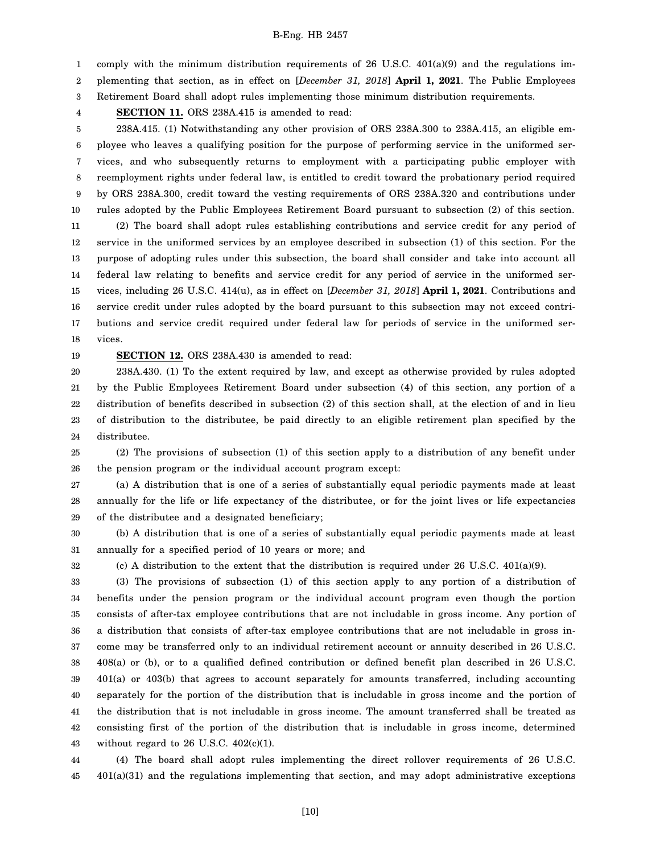1 comply with the minimum distribution requirements of 26 U.S.C. 401(a)(9) and the regulations im-

2 plementing that section, as in effect on [*December 31, 2018*] **April 1, 2021**. The Public Employees

3 Retirement Board shall adopt rules implementing those minimum distribution requirements.

4 **SECTION 11.** ORS 238A.415 is amended to read:

5 6 7 8 9 10 11 12 13 14 15 16 17 18 238A.415. (1) Notwithstanding any other provision of ORS 238A.300 to 238A.415, an eligible employee who leaves a qualifying position for the purpose of performing service in the uniformed services, and who subsequently returns to employment with a participating public employer with reemployment rights under federal law, is entitled to credit toward the probationary period required by ORS 238A.300, credit toward the vesting requirements of ORS 238A.320 and contributions under rules adopted by the Public Employees Retirement Board pursuant to subsection (2) of this section. (2) The board shall adopt rules establishing contributions and service credit for any period of service in the uniformed services by an employee described in subsection (1) of this section. For the purpose of adopting rules under this subsection, the board shall consider and take into account all federal law relating to benefits and service credit for any period of service in the uniformed services, including 26 U.S.C. 414(u), as in effect on [*December 31, 2018*] **April 1, 2021**. Contributions and service credit under rules adopted by the board pursuant to this subsection may not exceed contributions and service credit required under federal law for periods of service in the uniformed services.

19 **SECTION 12.** ORS 238A.430 is amended to read:

32

20 21 22 23 24 238A.430. (1) To the extent required by law, and except as otherwise provided by rules adopted by the Public Employees Retirement Board under subsection (4) of this section, any portion of a distribution of benefits described in subsection (2) of this section shall, at the election of and in lieu of distribution to the distributee, be paid directly to an eligible retirement plan specified by the distributee.

25 26 (2) The provisions of subsection (1) of this section apply to a distribution of any benefit under the pension program or the individual account program except:

27 28 29 (a) A distribution that is one of a series of substantially equal periodic payments made at least annually for the life or life expectancy of the distributee, or for the joint lives or life expectancies of the distributee and a designated beneficiary;

30 31 (b) A distribution that is one of a series of substantially equal periodic payments made at least annually for a specified period of 10 years or more; and

(c) A distribution to the extent that the distribution is required under 26 U.S.C.  $401(a)(9)$ .

33 34 35 36 37 38 39 40 41 42 43 (3) The provisions of subsection (1) of this section apply to any portion of a distribution of benefits under the pension program or the individual account program even though the portion consists of after-tax employee contributions that are not includable in gross income. Any portion of a distribution that consists of after-tax employee contributions that are not includable in gross income may be transferred only to an individual retirement account or annuity described in 26 U.S.C. 408(a) or (b), or to a qualified defined contribution or defined benefit plan described in 26 U.S.C. 401(a) or 403(b) that agrees to account separately for amounts transferred, including accounting separately for the portion of the distribution that is includable in gross income and the portion of the distribution that is not includable in gross income. The amount transferred shall be treated as consisting first of the portion of the distribution that is includable in gross income, determined without regard to 26 U.S.C.  $402(c)(1)$ .

44 45 (4) The board shall adopt rules implementing the direct rollover requirements of 26 U.S.C. 401(a)(31) and the regulations implementing that section, and may adopt administrative exceptions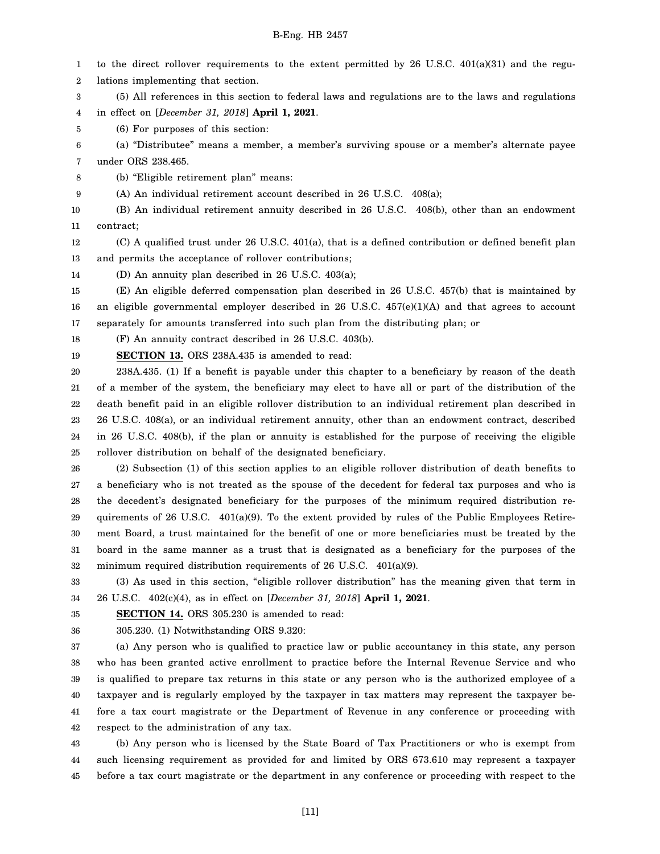1 2 3 4 to the direct rollover requirements to the extent permitted by  $26$  U.S.C.  $401(a)(31)$  and the regulations implementing that section. (5) All references in this section to federal laws and regulations are to the laws and regulations in effect on [*December 31, 2018*] **April 1, 2021**.

5 (6) For purposes of this section:

6 7 (a) "Distributee" means a member, a member's surviving spouse or a member's alternate payee under ORS 238.465.

8 (b) "Eligible retirement plan" means:

9 (A) An individual retirement account described in 26 U.S.C. 408(a);

10 11 (B) An individual retirement annuity described in 26 U.S.C. 408(b), other than an endowment contract;

12 13 (C) A qualified trust under 26 U.S.C. 401(a), that is a defined contribution or defined benefit plan and permits the acceptance of rollover contributions;

14 (D) An annuity plan described in 26 U.S.C. 403(a);

15 16 17 (E) An eligible deferred compensation plan described in 26 U.S.C. 457(b) that is maintained by an eligible governmental employer described in 26 U.S.C. 457(e)(1)(A) and that agrees to account separately for amounts transferred into such plan from the distributing plan; or

18 (F) An annuity contract described in 26 U.S.C. 403(b).

19 **SECTION 13.** ORS 238A.435 is amended to read:

20 21 22 23 24 25 238A.435. (1) If a benefit is payable under this chapter to a beneficiary by reason of the death of a member of the system, the beneficiary may elect to have all or part of the distribution of the death benefit paid in an eligible rollover distribution to an individual retirement plan described in 26 U.S.C. 408(a), or an individual retirement annuity, other than an endowment contract, described in 26 U.S.C. 408(b), if the plan or annuity is established for the purpose of receiving the eligible rollover distribution on behalf of the designated beneficiary.

26 27 28 29 30 31 32 (2) Subsection (1) of this section applies to an eligible rollover distribution of death benefits to a beneficiary who is not treated as the spouse of the decedent for federal tax purposes and who is the decedent's designated beneficiary for the purposes of the minimum required distribution requirements of 26 U.S.C.  $401(a)(9)$ . To the extent provided by rules of the Public Employees Retirement Board, a trust maintained for the benefit of one or more beneficiaries must be treated by the board in the same manner as a trust that is designated as a beneficiary for the purposes of the minimum required distribution requirements of 26 U.S.C. 401(a)(9).

33 34 (3) As used in this section, "eligible rollover distribution" has the meaning given that term in 26 U.S.C. 402(c)(4), as in effect on [*December 31, 2018*] **April 1, 2021**.

35 **SECTION 14.** ORS 305.230 is amended to read:

36 305.230. (1) Notwithstanding ORS 9.320:

37 38 39 40 41 42 (a) Any person who is qualified to practice law or public accountancy in this state, any person who has been granted active enrollment to practice before the Internal Revenue Service and who is qualified to prepare tax returns in this state or any person who is the authorized employee of a taxpayer and is regularly employed by the taxpayer in tax matters may represent the taxpayer before a tax court magistrate or the Department of Revenue in any conference or proceeding with respect to the administration of any tax.

43 44 45 (b) Any person who is licensed by the State Board of Tax Practitioners or who is exempt from such licensing requirement as provided for and limited by ORS 673.610 may represent a taxpayer before a tax court magistrate or the department in any conference or proceeding with respect to the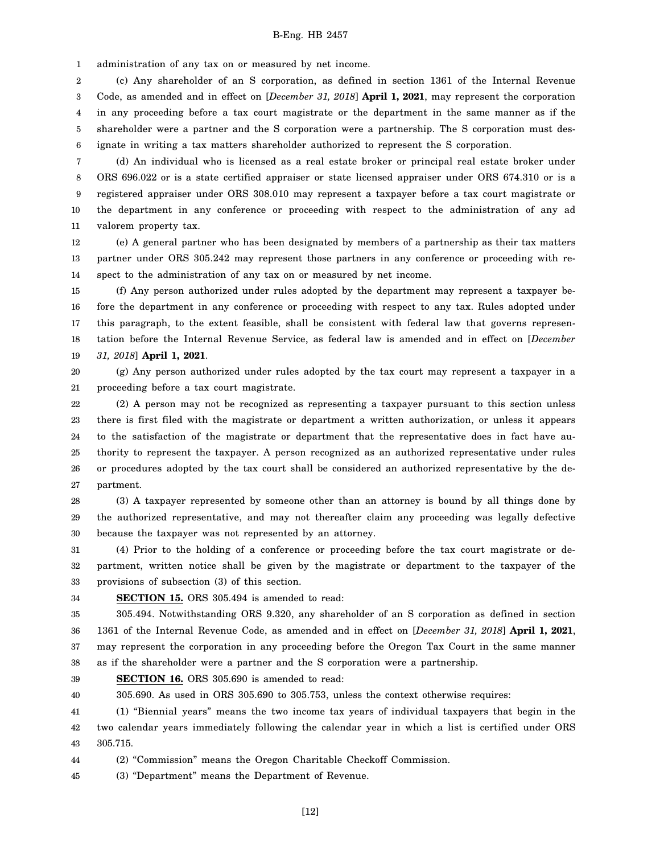1 administration of any tax on or measured by net income.

2 3 4 5 6 (c) Any shareholder of an S corporation, as defined in section 1361 of the Internal Revenue Code, as amended and in effect on [*December 31, 2018*] **April 1, 2021**, may represent the corporation in any proceeding before a tax court magistrate or the department in the same manner as if the shareholder were a partner and the S corporation were a partnership. The S corporation must designate in writing a tax matters shareholder authorized to represent the S corporation.

7 8 9 10 11 (d) An individual who is licensed as a real estate broker or principal real estate broker under ORS 696.022 or is a state certified appraiser or state licensed appraiser under ORS 674.310 or is a registered appraiser under ORS 308.010 may represent a taxpayer before a tax court magistrate or the department in any conference or proceeding with respect to the administration of any ad valorem property tax.

12 13 14 (e) A general partner who has been designated by members of a partnership as their tax matters partner under ORS 305.242 may represent those partners in any conference or proceeding with respect to the administration of any tax on or measured by net income.

15 16 17 18 19 (f) Any person authorized under rules adopted by the department may represent a taxpayer before the department in any conference or proceeding with respect to any tax. Rules adopted under this paragraph, to the extent feasible, shall be consistent with federal law that governs representation before the Internal Revenue Service, as federal law is amended and in effect on [*December 31, 2018*] **April 1, 2021**.

20 21 (g) Any person authorized under rules adopted by the tax court may represent a taxpayer in a proceeding before a tax court magistrate.

22 23 24 25 26 27 (2) A person may not be recognized as representing a taxpayer pursuant to this section unless there is first filed with the magistrate or department a written authorization, or unless it appears to the satisfaction of the magistrate or department that the representative does in fact have authority to represent the taxpayer. A person recognized as an authorized representative under rules or procedures adopted by the tax court shall be considered an authorized representative by the department.

28 29 30 (3) A taxpayer represented by someone other than an attorney is bound by all things done by the authorized representative, and may not thereafter claim any proceeding was legally defective because the taxpayer was not represented by an attorney.

31 32 33 (4) Prior to the holding of a conference or proceeding before the tax court magistrate or department, written notice shall be given by the magistrate or department to the taxpayer of the provisions of subsection (3) of this section.

34

**SECTION 15.** ORS 305.494 is amended to read:

35 36 37 38 305.494. Notwithstanding ORS 9.320, any shareholder of an S corporation as defined in section 1361 of the Internal Revenue Code, as amended and in effect on [*December 31, 2018*] **April 1, 2021**, may represent the corporation in any proceeding before the Oregon Tax Court in the same manner as if the shareholder were a partner and the S corporation were a partnership.

39 **SECTION 16.** ORS 305.690 is amended to read:

40 305.690. As used in ORS 305.690 to 305.753, unless the context otherwise requires:

41 42 43 (1) "Biennial years" means the two income tax years of individual taxpayers that begin in the two calendar years immediately following the calendar year in which a list is certified under ORS 305.715.

44 (2) "Commission" means the Oregon Charitable Checkoff Commission.

45 (3) "Department" means the Department of Revenue.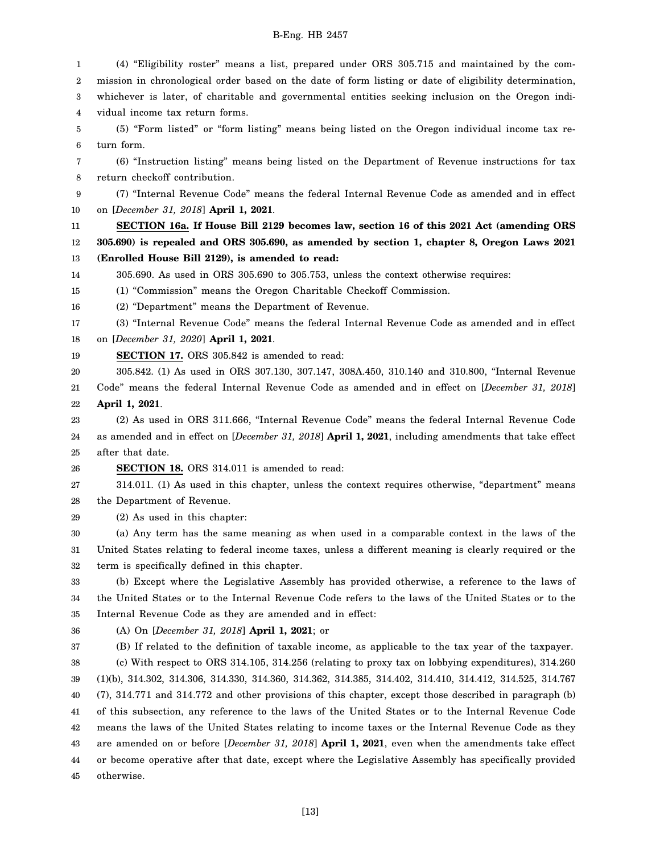1 2 3 4 5 6 7 8 9 10 11 12 13 14 15 16 17 18 19 20 21 22 23 24 25 26 27 28 29 30 31 32 33 34 35 36 37 38 39 40 41 42 43 44 45 (4) "Eligibility roster" means a list, prepared under ORS 305.715 and maintained by the commission in chronological order based on the date of form listing or date of eligibility determination, whichever is later, of charitable and governmental entities seeking inclusion on the Oregon individual income tax return forms. (5) "Form listed" or "form listing" means being listed on the Oregon individual income tax return form. (6) "Instruction listing" means being listed on the Department of Revenue instructions for tax return checkoff contribution. (7) "Internal Revenue Code" means the federal Internal Revenue Code as amended and in effect on [*December 31, 2018*] **April 1, 2021**. **SECTION 16a. If House Bill 2129 becomes law, section 16 of this 2021 Act (amending ORS 305.690) is repealed and ORS 305.690, as amended by section 1, chapter 8, Oregon Laws 2021 (Enrolled House Bill 2129), is amended to read:** 305.690. As used in ORS 305.690 to 305.753, unless the context otherwise requires: (1) "Commission" means the Oregon Charitable Checkoff Commission. (2) "Department" means the Department of Revenue. (3) "Internal Revenue Code" means the federal Internal Revenue Code as amended and in effect on [*December 31, 2020*] **April 1, 2021**. **SECTION 17.** ORS 305.842 is amended to read: 305.842. (1) As used in ORS 307.130, 307.147, 308A.450, 310.140 and 310.800, "Internal Revenue Code" means the federal Internal Revenue Code as amended and in effect on [*December 31, 2018*] **April 1, 2021**. (2) As used in ORS 311.666, "Internal Revenue Code" means the federal Internal Revenue Code as amended and in effect on [*December 31, 2018*] **April 1, 2021**, including amendments that take effect after that date. **SECTION 18.** ORS 314.011 is amended to read: 314.011. (1) As used in this chapter, unless the context requires otherwise, "department" means the Department of Revenue. (2) As used in this chapter: (a) Any term has the same meaning as when used in a comparable context in the laws of the United States relating to federal income taxes, unless a different meaning is clearly required or the term is specifically defined in this chapter. (b) Except where the Legislative Assembly has provided otherwise, a reference to the laws of the United States or to the Internal Revenue Code refers to the laws of the United States or to the Internal Revenue Code as they are amended and in effect: (A) On [*December 31, 2018*] **April 1, 2021**; or (B) If related to the definition of taxable income, as applicable to the tax year of the taxpayer. (c) With respect to ORS 314.105, 314.256 (relating to proxy tax on lobbying expenditures), 314.260 (1)(b), 314.302, 314.306, 314.330, 314.360, 314.362, 314.385, 314.402, 314.410, 314.412, 314.525, 314.767 (7), 314.771 and 314.772 and other provisions of this chapter, except those described in paragraph (b) of this subsection, any reference to the laws of the United States or to the Internal Revenue Code means the laws of the United States relating to income taxes or the Internal Revenue Code as they are amended on or before [*December 31, 2018*] **April 1, 2021**, even when the amendments take effect or become operative after that date, except where the Legislative Assembly has specifically provided otherwise.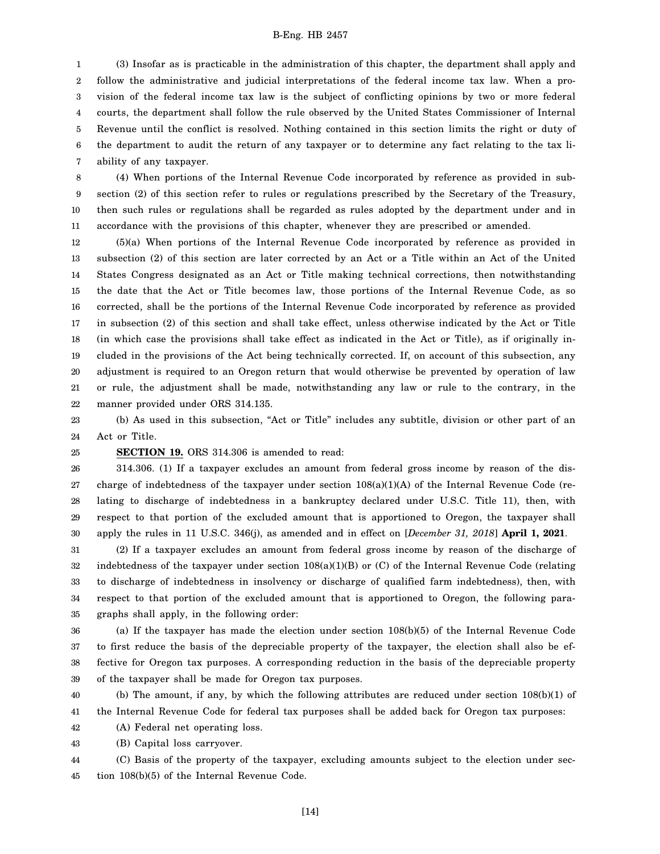1 2 3 4 5 6 7 (3) Insofar as is practicable in the administration of this chapter, the department shall apply and follow the administrative and judicial interpretations of the federal income tax law. When a provision of the federal income tax law is the subject of conflicting opinions by two or more federal courts, the department shall follow the rule observed by the United States Commissioner of Internal Revenue until the conflict is resolved. Nothing contained in this section limits the right or duty of the department to audit the return of any taxpayer or to determine any fact relating to the tax liability of any taxpayer.

8 9 10 11 (4) When portions of the Internal Revenue Code incorporated by reference as provided in subsection (2) of this section refer to rules or regulations prescribed by the Secretary of the Treasury, then such rules or regulations shall be regarded as rules adopted by the department under and in accordance with the provisions of this chapter, whenever they are prescribed or amended.

12 13 14 15 16 17 18 19 20 21 22 (5)(a) When portions of the Internal Revenue Code incorporated by reference as provided in subsection (2) of this section are later corrected by an Act or a Title within an Act of the United States Congress designated as an Act or Title making technical corrections, then notwithstanding the date that the Act or Title becomes law, those portions of the Internal Revenue Code, as so corrected, shall be the portions of the Internal Revenue Code incorporated by reference as provided in subsection (2) of this section and shall take effect, unless otherwise indicated by the Act or Title (in which case the provisions shall take effect as indicated in the Act or Title), as if originally included in the provisions of the Act being technically corrected. If, on account of this subsection, any adjustment is required to an Oregon return that would otherwise be prevented by operation of law or rule, the adjustment shall be made, notwithstanding any law or rule to the contrary, in the manner provided under ORS 314.135.

23 24 (b) As used in this subsection, "Act or Title" includes any subtitle, division or other part of an Act or Title.

25

# **SECTION 19.** ORS 314.306 is amended to read:

26 27 28 29 30 314.306. (1) If a taxpayer excludes an amount from federal gross income by reason of the discharge of indebtedness of the taxpayer under section 108(a)(1)(A) of the Internal Revenue Code (relating to discharge of indebtedness in a bankruptcy declared under U.S.C. Title 11), then, with respect to that portion of the excluded amount that is apportioned to Oregon, the taxpayer shall apply the rules in 11 U.S.C. 346(j), as amended and in effect on [*December 31, 2018*] **April 1, 2021**.

31 32 33 34 35 (2) If a taxpayer excludes an amount from federal gross income by reason of the discharge of indebtedness of the taxpayer under section 108(a)(1)(B) or (C) of the Internal Revenue Code (relating to discharge of indebtedness in insolvency or discharge of qualified farm indebtedness), then, with respect to that portion of the excluded amount that is apportioned to Oregon, the following paragraphs shall apply, in the following order:

36 37 38 39 (a) If the taxpayer has made the election under section 108(b)(5) of the Internal Revenue Code to first reduce the basis of the depreciable property of the taxpayer, the election shall also be effective for Oregon tax purposes. A corresponding reduction in the basis of the depreciable property of the taxpayer shall be made for Oregon tax purposes.

40 41 (b) The amount, if any, by which the following attributes are reduced under section 108(b)(1) of the Internal Revenue Code for federal tax purposes shall be added back for Oregon tax purposes:

42 (A) Federal net operating loss.

43 (B) Capital loss carryover.

44 45 (C) Basis of the property of the taxpayer, excluding amounts subject to the election under section 108(b)(5) of the Internal Revenue Code.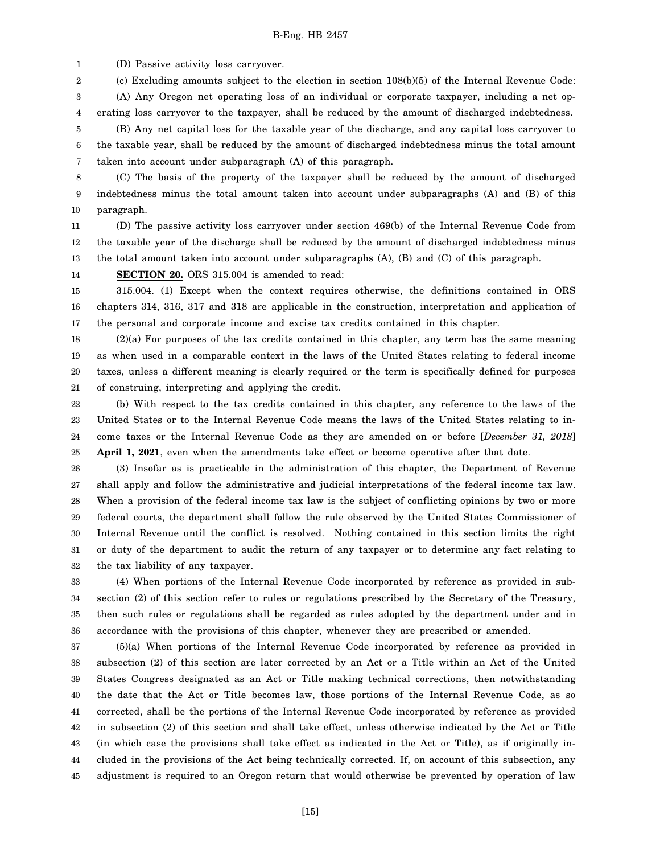1 (D) Passive activity loss carryover.

2 (c) Excluding amounts subject to the election in section 108(b)(5) of the Internal Revenue Code:

3 4 5 (A) Any Oregon net operating loss of an individual or corporate taxpayer, including a net operating loss carryover to the taxpayer, shall be reduced by the amount of discharged indebtedness. (B) Any net capital loss for the taxable year of the discharge, and any capital loss carryover to

6 7 the taxable year, shall be reduced by the amount of discharged indebtedness minus the total amount taken into account under subparagraph (A) of this paragraph.

8 9 10 (C) The basis of the property of the taxpayer shall be reduced by the amount of discharged indebtedness minus the total amount taken into account under subparagraphs (A) and (B) of this paragraph.

11 12 13 (D) The passive activity loss carryover under section 469(b) of the Internal Revenue Code from the taxable year of the discharge shall be reduced by the amount of discharged indebtedness minus the total amount taken into account under subparagraphs (A), (B) and (C) of this paragraph.

14 **SECTION 20.** ORS 315.004 is amended to read:

15 16 17 315.004. (1) Except when the context requires otherwise, the definitions contained in ORS chapters 314, 316, 317 and 318 are applicable in the construction, interpretation and application of the personal and corporate income and excise tax credits contained in this chapter.

18 19 20 21 (2)(a) For purposes of the tax credits contained in this chapter, any term has the same meaning as when used in a comparable context in the laws of the United States relating to federal income taxes, unless a different meaning is clearly required or the term is specifically defined for purposes of construing, interpreting and applying the credit.

22 23 24 25 (b) With respect to the tax credits contained in this chapter, any reference to the laws of the United States or to the Internal Revenue Code means the laws of the United States relating to income taxes or the Internal Revenue Code as they are amended on or before [*December 31, 2018*] **April 1, 2021**, even when the amendments take effect or become operative after that date.

26 27 28 29 30 31 32 (3) Insofar as is practicable in the administration of this chapter, the Department of Revenue shall apply and follow the administrative and judicial interpretations of the federal income tax law. When a provision of the federal income tax law is the subject of conflicting opinions by two or more federal courts, the department shall follow the rule observed by the United States Commissioner of Internal Revenue until the conflict is resolved. Nothing contained in this section limits the right or duty of the department to audit the return of any taxpayer or to determine any fact relating to the tax liability of any taxpayer.

33 34 35 36 (4) When portions of the Internal Revenue Code incorporated by reference as provided in subsection (2) of this section refer to rules or regulations prescribed by the Secretary of the Treasury, then such rules or regulations shall be regarded as rules adopted by the department under and in accordance with the provisions of this chapter, whenever they are prescribed or amended.

37 38 39 40 41 42 43 44 45 (5)(a) When portions of the Internal Revenue Code incorporated by reference as provided in subsection (2) of this section are later corrected by an Act or a Title within an Act of the United States Congress designated as an Act or Title making technical corrections, then notwithstanding the date that the Act or Title becomes law, those portions of the Internal Revenue Code, as so corrected, shall be the portions of the Internal Revenue Code incorporated by reference as provided in subsection (2) of this section and shall take effect, unless otherwise indicated by the Act or Title (in which case the provisions shall take effect as indicated in the Act or Title), as if originally included in the provisions of the Act being technically corrected. If, on account of this subsection, any adjustment is required to an Oregon return that would otherwise be prevented by operation of law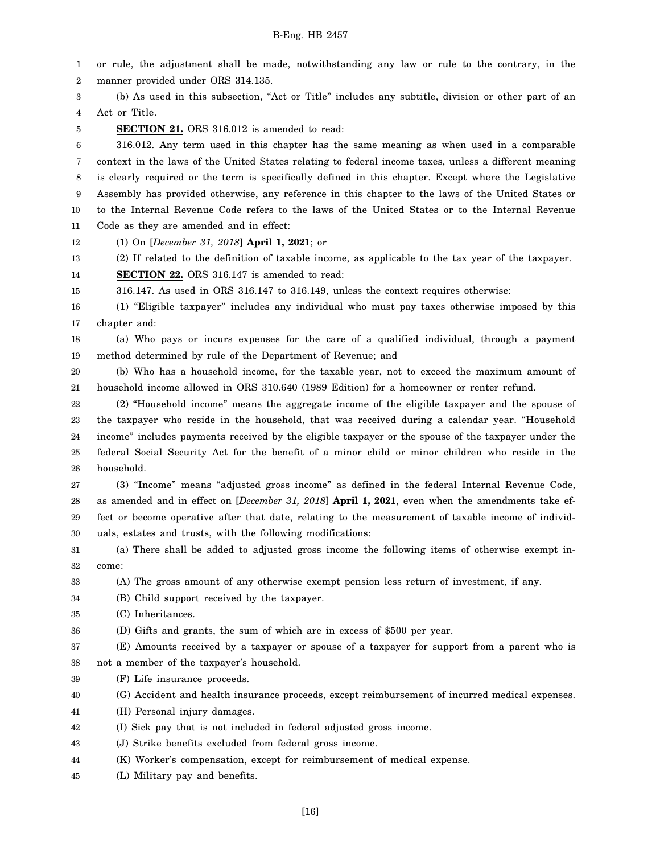1 2 3 4 5 6 7 8 9 10 11 12 13 14 15 16 17 18 19 20 21 22 23 24 25 26 27 28 29 30 31 32 33 34 35 36 37 38 39 40 41 42 43 44 45 or rule, the adjustment shall be made, notwithstanding any law or rule to the contrary, in the manner provided under ORS 314.135. (b) As used in this subsection, "Act or Title" includes any subtitle, division or other part of an Act or Title. **SECTION 21.** ORS 316.012 is amended to read: 316.012. Any term used in this chapter has the same meaning as when used in a comparable context in the laws of the United States relating to federal income taxes, unless a different meaning is clearly required or the term is specifically defined in this chapter. Except where the Legislative Assembly has provided otherwise, any reference in this chapter to the laws of the United States or to the Internal Revenue Code refers to the laws of the United States or to the Internal Revenue Code as they are amended and in effect: (1) On [*December 31, 2018*] **April 1, 2021**; or (2) If related to the definition of taxable income, as applicable to the tax year of the taxpayer. **SECTION 22.** ORS 316.147 is amended to read: 316.147. As used in ORS 316.147 to 316.149, unless the context requires otherwise: (1) "Eligible taxpayer" includes any individual who must pay taxes otherwise imposed by this chapter and: (a) Who pays or incurs expenses for the care of a qualified individual, through a payment method determined by rule of the Department of Revenue; and (b) Who has a household income, for the taxable year, not to exceed the maximum amount of household income allowed in ORS 310.640 (1989 Edition) for a homeowner or renter refund. (2) "Household income" means the aggregate income of the eligible taxpayer and the spouse of the taxpayer who reside in the household, that was received during a calendar year. "Household income" includes payments received by the eligible taxpayer or the spouse of the taxpayer under the federal Social Security Act for the benefit of a minor child or minor children who reside in the household. (3) "Income" means "adjusted gross income" as defined in the federal Internal Revenue Code, as amended and in effect on [*December 31, 2018*] **April 1, 2021**, even when the amendments take effect or become operative after that date, relating to the measurement of taxable income of individuals, estates and trusts, with the following modifications: (a) There shall be added to adjusted gross income the following items of otherwise exempt income: (A) The gross amount of any otherwise exempt pension less return of investment, if any. (B) Child support received by the taxpayer. (C) Inheritances. (D) Gifts and grants, the sum of which are in excess of \$500 per year. (E) Amounts received by a taxpayer or spouse of a taxpayer for support from a parent who is not a member of the taxpayer's household. (F) Life insurance proceeds. (G) Accident and health insurance proceeds, except reimbursement of incurred medical expenses. (H) Personal injury damages. (I) Sick pay that is not included in federal adjusted gross income. (J) Strike benefits excluded from federal gross income. (K) Worker's compensation, except for reimbursement of medical expense. (L) Military pay and benefits.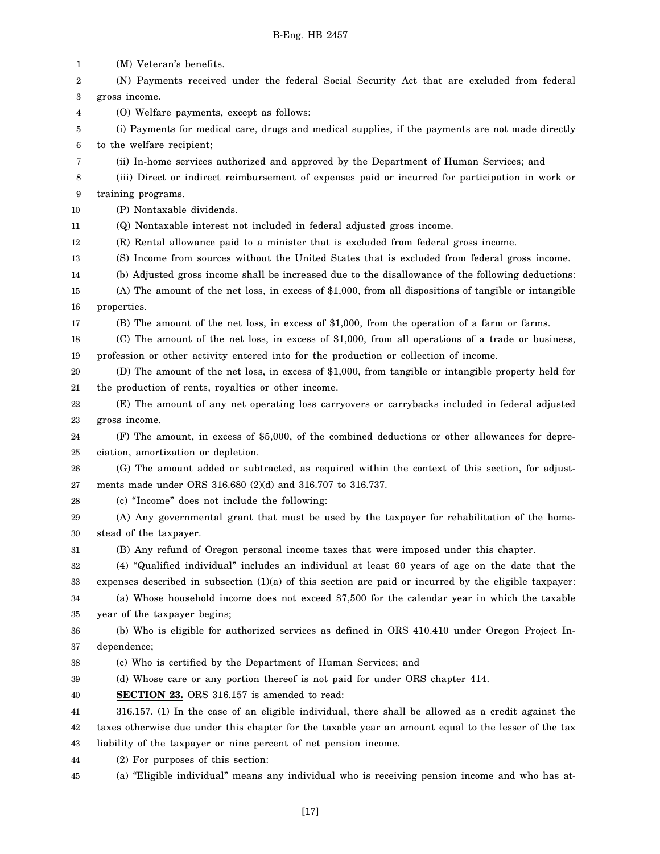1 2 3 4 5 6 7 8 9 10 11 12 13 14 15 16 17 18 19 20 21 22 23 24 25 26 27 28 29 30 31 32 33 34 35 36 37 38 39 40 41 42 43 44 45 (M) Veteran's benefits. (N) Payments received under the federal Social Security Act that are excluded from federal gross income. (O) Welfare payments, except as follows: (i) Payments for medical care, drugs and medical supplies, if the payments are not made directly to the welfare recipient; (ii) In-home services authorized and approved by the Department of Human Services; and (iii) Direct or indirect reimbursement of expenses paid or incurred for participation in work or training programs. (P) Nontaxable dividends. (Q) Nontaxable interest not included in federal adjusted gross income. (R) Rental allowance paid to a minister that is excluded from federal gross income. (S) Income from sources without the United States that is excluded from federal gross income. (b) Adjusted gross income shall be increased due to the disallowance of the following deductions: (A) The amount of the net loss, in excess of \$1,000, from all dispositions of tangible or intangible properties. (B) The amount of the net loss, in excess of \$1,000, from the operation of a farm or farms. (C) The amount of the net loss, in excess of \$1,000, from all operations of a trade or business, profession or other activity entered into for the production or collection of income. (D) The amount of the net loss, in excess of \$1,000, from tangible or intangible property held for the production of rents, royalties or other income. (E) The amount of any net operating loss carryovers or carrybacks included in federal adjusted gross income. (F) The amount, in excess of \$5,000, of the combined deductions or other allowances for depreciation, amortization or depletion. (G) The amount added or subtracted, as required within the context of this section, for adjustments made under ORS 316.680 (2)(d) and 316.707 to 316.737. (c) "Income" does not include the following: (A) Any governmental grant that must be used by the taxpayer for rehabilitation of the homestead of the taxpayer. (B) Any refund of Oregon personal income taxes that were imposed under this chapter. (4) "Qualified individual" includes an individual at least 60 years of age on the date that the expenses described in subsection (1)(a) of this section are paid or incurred by the eligible taxpayer: (a) Whose household income does not exceed \$7,500 for the calendar year in which the taxable year of the taxpayer begins; (b) Who is eligible for authorized services as defined in ORS 410.410 under Oregon Project Independence; (c) Who is certified by the Department of Human Services; and (d) Whose care or any portion thereof is not paid for under ORS chapter 414. **SECTION 23.** ORS 316.157 is amended to read: 316.157. (1) In the case of an eligible individual, there shall be allowed as a credit against the taxes otherwise due under this chapter for the taxable year an amount equal to the lesser of the tax liability of the taxpayer or nine percent of net pension income. (2) For purposes of this section: (a) "Eligible individual" means any individual who is receiving pension income and who has at-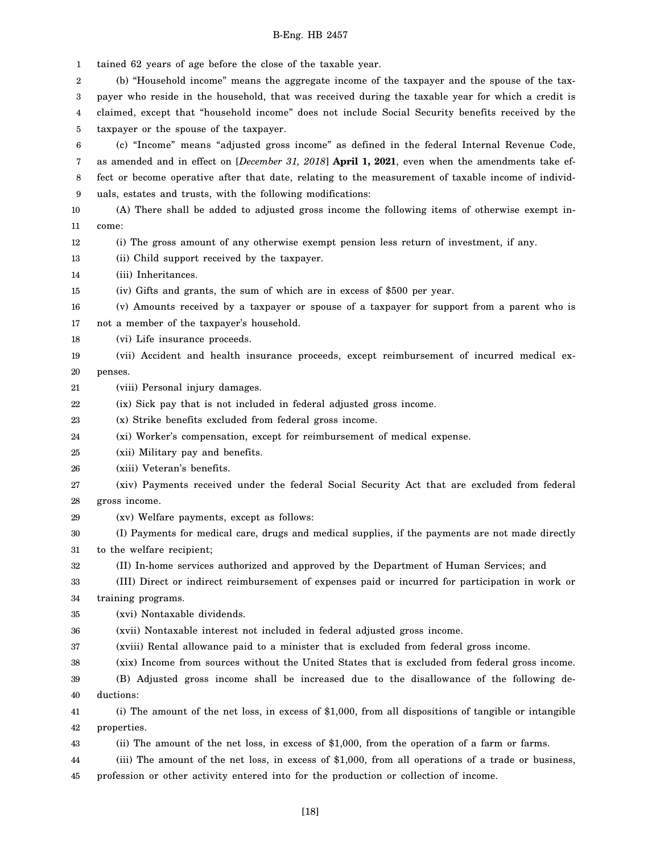1  $\mathfrak{D}$ 3 4 5 6 7 8 9 10 11 12 13 14 15 16 17 18 19 20 21 22 23 24 25 26 27 28 29 30 31 32 33 34 35 36 37 38 39 40 41 42 43 44 45 tained 62 years of age before the close of the taxable year. (b) "Household income" means the aggregate income of the taxpayer and the spouse of the taxpayer who reside in the household, that was received during the taxable year for which a credit is claimed, except that "household income" does not include Social Security benefits received by the taxpayer or the spouse of the taxpayer. (c) "Income" means "adjusted gross income" as defined in the federal Internal Revenue Code, as amended and in effect on [*December 31, 2018*] **April 1, 2021**, even when the amendments take effect or become operative after that date, relating to the measurement of taxable income of individuals, estates and trusts, with the following modifications: (A) There shall be added to adjusted gross income the following items of otherwise exempt income: (i) The gross amount of any otherwise exempt pension less return of investment, if any. (ii) Child support received by the taxpayer. (iii) Inheritances. (iv) Gifts and grants, the sum of which are in excess of \$500 per year. (v) Amounts received by a taxpayer or spouse of a taxpayer for support from a parent who is not a member of the taxpayer's household. (vi) Life insurance proceeds. (vii) Accident and health insurance proceeds, except reimbursement of incurred medical expenses. (viii) Personal injury damages. (ix) Sick pay that is not included in federal adjusted gross income. (x) Strike benefits excluded from federal gross income. (xi) Worker's compensation, except for reimbursement of medical expense. (xii) Military pay and benefits. (xiii) Veteran's benefits. (xiv) Payments received under the federal Social Security Act that are excluded from federal gross income. (xv) Welfare payments, except as follows: (I) Payments for medical care, drugs and medical supplies, if the payments are not made directly to the welfare recipient; (II) In-home services authorized and approved by the Department of Human Services; and (III) Direct or indirect reimbursement of expenses paid or incurred for participation in work or training programs. (xvi) Nontaxable dividends. (xvii) Nontaxable interest not included in federal adjusted gross income. (xviii) Rental allowance paid to a minister that is excluded from federal gross income. (xix) Income from sources without the United States that is excluded from federal gross income. (B) Adjusted gross income shall be increased due to the disallowance of the following deductions: (i) The amount of the net loss, in excess of \$1,000, from all dispositions of tangible or intangible properties. (ii) The amount of the net loss, in excess of \$1,000, from the operation of a farm or farms. (iii) The amount of the net loss, in excess of \$1,000, from all operations of a trade or business, profession or other activity entered into for the production or collection of income.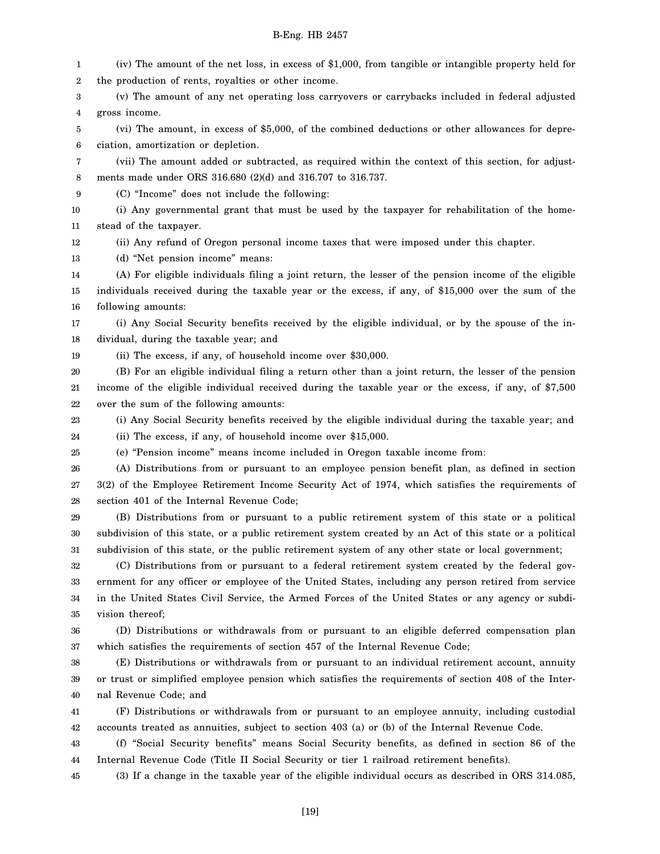1 2 3 4 5 6 7 8 9 10 11 12 13 14 15 16 17 18 19 20 21 22 23 24 25 26 27 28 29 30 31 32 33 34 35 36 37 38 39 40 41 42 43 44 45 (iv) The amount of the net loss, in excess of \$1,000, from tangible or intangible property held for the production of rents, royalties or other income. (v) The amount of any net operating loss carryovers or carrybacks included in federal adjusted gross income. (vi) The amount, in excess of \$5,000, of the combined deductions or other allowances for depreciation, amortization or depletion. (vii) The amount added or subtracted, as required within the context of this section, for adjustments made under ORS 316.680 (2)(d) and 316.707 to 316.737. (C) "Income" does not include the following: (i) Any governmental grant that must be used by the taxpayer for rehabilitation of the homestead of the taxpayer. (ii) Any refund of Oregon personal income taxes that were imposed under this chapter. (d) "Net pension income" means: (A) For eligible individuals filing a joint return, the lesser of the pension income of the eligible individuals received during the taxable year or the excess, if any, of \$15,000 over the sum of the following amounts: (i) Any Social Security benefits received by the eligible individual, or by the spouse of the individual, during the taxable year; and (ii) The excess, if any, of household income over \$30,000. (B) For an eligible individual filing a return other than a joint return, the lesser of the pension income of the eligible individual received during the taxable year or the excess, if any, of \$7,500 over the sum of the following amounts: (i) Any Social Security benefits received by the eligible individual during the taxable year; and (ii) The excess, if any, of household income over \$15,000. (e) "Pension income" means income included in Oregon taxable income from: (A) Distributions from or pursuant to an employee pension benefit plan, as defined in section 3(2) of the Employee Retirement Income Security Act of 1974, which satisfies the requirements of section 401 of the Internal Revenue Code; (B) Distributions from or pursuant to a public retirement system of this state or a political subdivision of this state, or a public retirement system created by an Act of this state or a political subdivision of this state, or the public retirement system of any other state or local government; (C) Distributions from or pursuant to a federal retirement system created by the federal government for any officer or employee of the United States, including any person retired from service in the United States Civil Service, the Armed Forces of the United States or any agency or subdivision thereof; (D) Distributions or withdrawals from or pursuant to an eligible deferred compensation plan which satisfies the requirements of section 457 of the Internal Revenue Code; (E) Distributions or withdrawals from or pursuant to an individual retirement account, annuity or trust or simplified employee pension which satisfies the requirements of section 408 of the Internal Revenue Code; and (F) Distributions or withdrawals from or pursuant to an employee annuity, including custodial accounts treated as annuities, subject to section 403 (a) or (b) of the Internal Revenue Code. (f) "Social Security benefits" means Social Security benefits, as defined in section 86 of the Internal Revenue Code (Title II Social Security or tier 1 railroad retirement benefits). (3) If a change in the taxable year of the eligible individual occurs as described in ORS 314.085,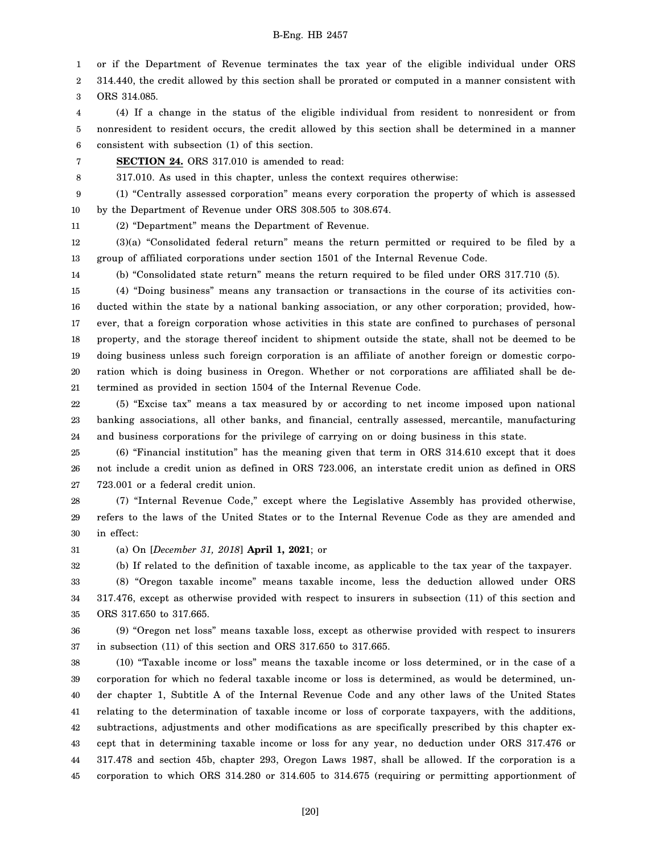1 or if the Department of Revenue terminates the tax year of the eligible individual under ORS

2 3 314.440, the credit allowed by this section shall be prorated or computed in a manner consistent with ORS 314.085.

4 5 6 (4) If a change in the status of the eligible individual from resident to nonresident or from nonresident to resident occurs, the credit allowed by this section shall be determined in a manner consistent with subsection (1) of this section.

7 **SECTION 24.** ORS 317.010 is amended to read:

8 317.010. As used in this chapter, unless the context requires otherwise:

9 10 (1) "Centrally assessed corporation" means every corporation the property of which is assessed by the Department of Revenue under ORS 308.505 to 308.674.

11 (2) "Department" means the Department of Revenue.

12 13 (3)(a) "Consolidated federal return" means the return permitted or required to be filed by a group of affiliated corporations under section 1501 of the Internal Revenue Code.

14 (b) "Consolidated state return" means the return required to be filed under ORS 317.710 (5).

15 16 17 18 19 20 21 (4) "Doing business" means any transaction or transactions in the course of its activities conducted within the state by a national banking association, or any other corporation; provided, however, that a foreign corporation whose activities in this state are confined to purchases of personal property, and the storage thereof incident to shipment outside the state, shall not be deemed to be doing business unless such foreign corporation is an affiliate of another foreign or domestic corporation which is doing business in Oregon. Whether or not corporations are affiliated shall be determined as provided in section 1504 of the Internal Revenue Code.

22 23 24 (5) "Excise tax" means a tax measured by or according to net income imposed upon national banking associations, all other banks, and financial, centrally assessed, mercantile, manufacturing and business corporations for the privilege of carrying on or doing business in this state.

25 26 27 (6) "Financial institution" has the meaning given that term in ORS 314.610 except that it does not include a credit union as defined in ORS 723.006, an interstate credit union as defined in ORS 723.001 or a federal credit union.

28 29 30 (7) "Internal Revenue Code," except where the Legislative Assembly has provided otherwise, refers to the laws of the United States or to the Internal Revenue Code as they are amended and in effect:

31 (a) On [*December 31, 2018*] **April 1, 2021**; or

32 (b) If related to the definition of taxable income, as applicable to the tax year of the taxpayer.

33 34 35 (8) "Oregon taxable income" means taxable income, less the deduction allowed under ORS 317.476, except as otherwise provided with respect to insurers in subsection (11) of this section and ORS 317.650 to 317.665.

36 37 (9) "Oregon net loss" means taxable loss, except as otherwise provided with respect to insurers in subsection (11) of this section and ORS 317.650 to 317.665.

38 39 40 41 42 43 44 45 (10) "Taxable income or loss" means the taxable income or loss determined, or in the case of a corporation for which no federal taxable income or loss is determined, as would be determined, under chapter 1, Subtitle A of the Internal Revenue Code and any other laws of the United States relating to the determination of taxable income or loss of corporate taxpayers, with the additions, subtractions, adjustments and other modifications as are specifically prescribed by this chapter except that in determining taxable income or loss for any year, no deduction under ORS 317.476 or 317.478 and section 45b, chapter 293, Oregon Laws 1987, shall be allowed. If the corporation is a corporation to which ORS 314.280 or 314.605 to 314.675 (requiring or permitting apportionment of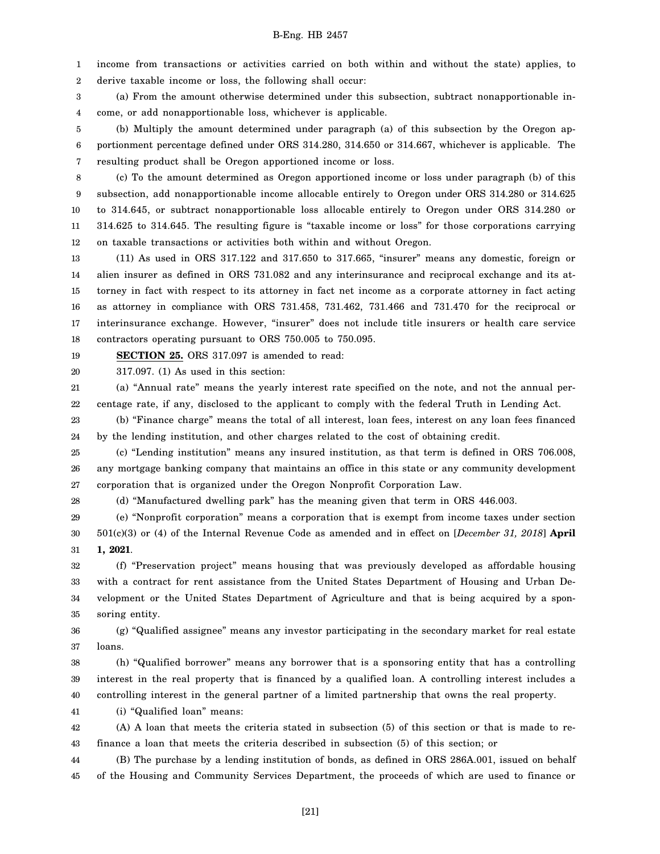1 2 income from transactions or activities carried on both within and without the state) applies, to derive taxable income or loss, the following shall occur:

3 4 (a) From the amount otherwise determined under this subsection, subtract nonapportionable income, or add nonapportionable loss, whichever is applicable.

5 6 7 (b) Multiply the amount determined under paragraph (a) of this subsection by the Oregon apportionment percentage defined under ORS 314.280, 314.650 or 314.667, whichever is applicable. The resulting product shall be Oregon apportioned income or loss.

8 9 10 11 12 (c) To the amount determined as Oregon apportioned income or loss under paragraph (b) of this subsection, add nonapportionable income allocable entirely to Oregon under ORS 314.280 or 314.625 to 314.645, or subtract nonapportionable loss allocable entirely to Oregon under ORS 314.280 or 314.625 to 314.645. The resulting figure is "taxable income or loss" for those corporations carrying on taxable transactions or activities both within and without Oregon.

13 14 15 16 17 18 (11) As used in ORS 317.122 and 317.650 to 317.665, "insurer" means any domestic, foreign or alien insurer as defined in ORS 731.082 and any interinsurance and reciprocal exchange and its attorney in fact with respect to its attorney in fact net income as a corporate attorney in fact acting as attorney in compliance with ORS 731.458, 731.462, 731.466 and 731.470 for the reciprocal or interinsurance exchange. However, "insurer" does not include title insurers or health care service contractors operating pursuant to ORS 750.005 to 750.095.

19 **SECTION 25.** ORS 317.097 is amended to read:

20 317.097. (1) As used in this section:

21 22 (a) "Annual rate" means the yearly interest rate specified on the note, and not the annual percentage rate, if any, disclosed to the applicant to comply with the federal Truth in Lending Act.

23 24 (b) "Finance charge" means the total of all interest, loan fees, interest on any loan fees financed by the lending institution, and other charges related to the cost of obtaining credit.

25 26 27 (c) "Lending institution" means any insured institution, as that term is defined in ORS 706.008, any mortgage banking company that maintains an office in this state or any community development corporation that is organized under the Oregon Nonprofit Corporation Law.

28 (d) "Manufactured dwelling park" has the meaning given that term in ORS 446.003.

29 30 31 (e) "Nonprofit corporation" means a corporation that is exempt from income taxes under section 501(c)(3) or (4) of the Internal Revenue Code as amended and in effect on [*December 31, 2018*] **April 1, 2021**.

32 33 34 35 (f) "Preservation project" means housing that was previously developed as affordable housing with a contract for rent assistance from the United States Department of Housing and Urban Development or the United States Department of Agriculture and that is being acquired by a sponsoring entity.

36 37 (g) "Qualified assignee" means any investor participating in the secondary market for real estate loans.

38 39 40 (h) "Qualified borrower" means any borrower that is a sponsoring entity that has a controlling interest in the real property that is financed by a qualified loan. A controlling interest includes a controlling interest in the general partner of a limited partnership that owns the real property.

41 (i) "Qualified loan" means:

42 43 (A) A loan that meets the criteria stated in subsection (5) of this section or that is made to refinance a loan that meets the criteria described in subsection (5) of this section; or

44 45 (B) The purchase by a lending institution of bonds, as defined in ORS 286A.001, issued on behalf of the Housing and Community Services Department, the proceeds of which are used to finance or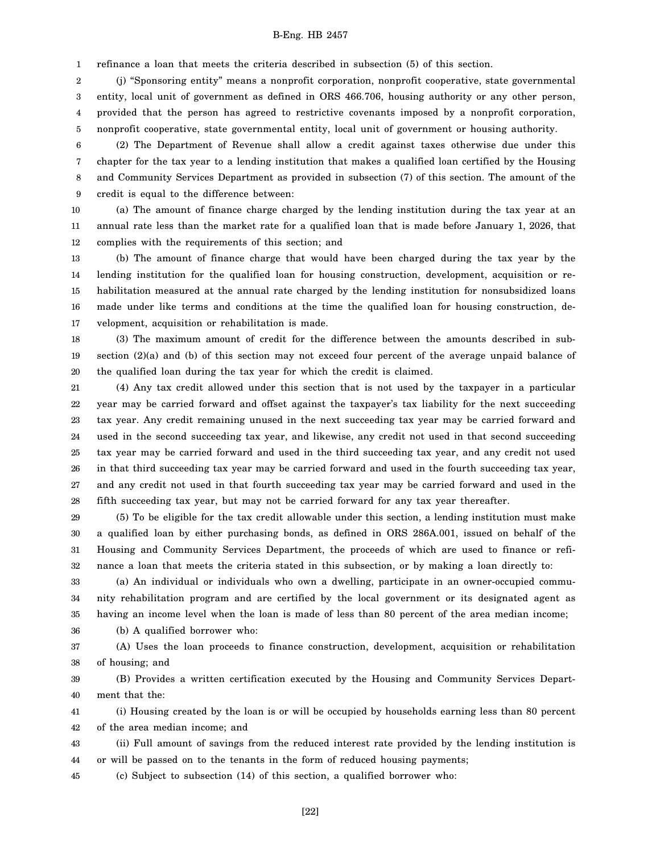1 refinance a loan that meets the criteria described in subsection (5) of this section.

2 3 4 (j) "Sponsoring entity" means a nonprofit corporation, nonprofit cooperative, state governmental entity, local unit of government as defined in ORS 466.706, housing authority or any other person, provided that the person has agreed to restrictive covenants imposed by a nonprofit corporation,

5 nonprofit cooperative, state governmental entity, local unit of government or housing authority.

6 7 8 9 (2) The Department of Revenue shall allow a credit against taxes otherwise due under this chapter for the tax year to a lending institution that makes a qualified loan certified by the Housing and Community Services Department as provided in subsection (7) of this section. The amount of the credit is equal to the difference between:

10 11 12 (a) The amount of finance charge charged by the lending institution during the tax year at an annual rate less than the market rate for a qualified loan that is made before January 1, 2026, that complies with the requirements of this section; and

13 14 15 16 17 (b) The amount of finance charge that would have been charged during the tax year by the lending institution for the qualified loan for housing construction, development, acquisition or rehabilitation measured at the annual rate charged by the lending institution for nonsubsidized loans made under like terms and conditions at the time the qualified loan for housing construction, development, acquisition or rehabilitation is made.

18 19 20 (3) The maximum amount of credit for the difference between the amounts described in subsection (2)(a) and (b) of this section may not exceed four percent of the average unpaid balance of the qualified loan during the tax year for which the credit is claimed.

21 22 23 24 25 26 27 28 (4) Any tax credit allowed under this section that is not used by the taxpayer in a particular year may be carried forward and offset against the taxpayer's tax liability for the next succeeding tax year. Any credit remaining unused in the next succeeding tax year may be carried forward and used in the second succeeding tax year, and likewise, any credit not used in that second succeeding tax year may be carried forward and used in the third succeeding tax year, and any credit not used in that third succeeding tax year may be carried forward and used in the fourth succeeding tax year, and any credit not used in that fourth succeeding tax year may be carried forward and used in the fifth succeeding tax year, but may not be carried forward for any tax year thereafter.

29 30 31 32 (5) To be eligible for the tax credit allowable under this section, a lending institution must make a qualified loan by either purchasing bonds, as defined in ORS 286A.001, issued on behalf of the Housing and Community Services Department, the proceeds of which are used to finance or refinance a loan that meets the criteria stated in this subsection, or by making a loan directly to:

33 34 35 (a) An individual or individuals who own a dwelling, participate in an owner-occupied community rehabilitation program and are certified by the local government or its designated agent as having an income level when the loan is made of less than 80 percent of the area median income;

36

(b) A qualified borrower who:

37 38 (A) Uses the loan proceeds to finance construction, development, acquisition or rehabilitation of housing; and

39 40 (B) Provides a written certification executed by the Housing and Community Services Department that the:

41 42 (i) Housing created by the loan is or will be occupied by households earning less than 80 percent of the area median income; and

43 44 (ii) Full amount of savings from the reduced interest rate provided by the lending institution is or will be passed on to the tenants in the form of reduced housing payments;

45 (c) Subject to subsection (14) of this section, a qualified borrower who: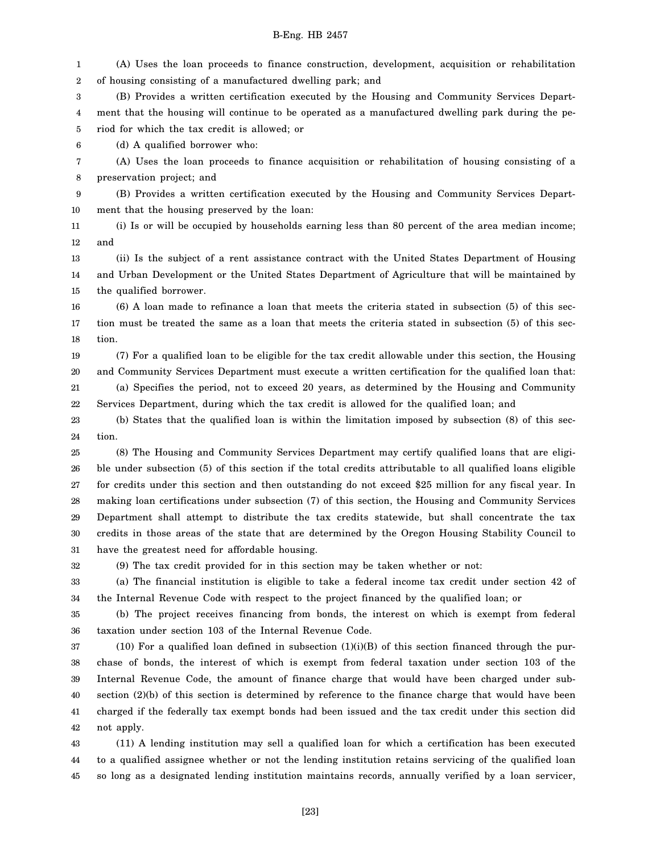1 2 (A) Uses the loan proceeds to finance construction, development, acquisition or rehabilitation of housing consisting of a manufactured dwelling park; and

3 4 5 (B) Provides a written certification executed by the Housing and Community Services Department that the housing will continue to be operated as a manufactured dwelling park during the period for which the tax credit is allowed; or

6 (d) A qualified borrower who:

7 8 (A) Uses the loan proceeds to finance acquisition or rehabilitation of housing consisting of a preservation project; and

9 10 (B) Provides a written certification executed by the Housing and Community Services Department that the housing preserved by the loan:

11 12 (i) Is or will be occupied by households earning less than 80 percent of the area median income; and

13 14 15 (ii) Is the subject of a rent assistance contract with the United States Department of Housing and Urban Development or the United States Department of Agriculture that will be maintained by the qualified borrower.

16 17 18 (6) A loan made to refinance a loan that meets the criteria stated in subsection (5) of this section must be treated the same as a loan that meets the criteria stated in subsection (5) of this section.

19 20 21 22 (7) For a qualified loan to be eligible for the tax credit allowable under this section, the Housing and Community Services Department must execute a written certification for the qualified loan that: (a) Specifies the period, not to exceed 20 years, as determined by the Housing and Community Services Department, during which the tax credit is allowed for the qualified loan; and

23 24 (b) States that the qualified loan is within the limitation imposed by subsection (8) of this section.

25 26 27 28 29 30 31 (8) The Housing and Community Services Department may certify qualified loans that are eligible under subsection (5) of this section if the total credits attributable to all qualified loans eligible for credits under this section and then outstanding do not exceed \$25 million for any fiscal year. In making loan certifications under subsection (7) of this section, the Housing and Community Services Department shall attempt to distribute the tax credits statewide, but shall concentrate the tax credits in those areas of the state that are determined by the Oregon Housing Stability Council to have the greatest need for affordable housing.

32

(9) The tax credit provided for in this section may be taken whether or not:

33 34 (a) The financial institution is eligible to take a federal income tax credit under section 42 of the Internal Revenue Code with respect to the project financed by the qualified loan; or

35 36 (b) The project receives financing from bonds, the interest on which is exempt from federal taxation under section 103 of the Internal Revenue Code.

37 38 39 40 41 42  $(10)$  For a qualified loan defined in subsection  $(1)(i)(B)$  of this section financed through the purchase of bonds, the interest of which is exempt from federal taxation under section 103 of the Internal Revenue Code, the amount of finance charge that would have been charged under subsection (2)(b) of this section is determined by reference to the finance charge that would have been charged if the federally tax exempt bonds had been issued and the tax credit under this section did not apply.

43 44 45 (11) A lending institution may sell a qualified loan for which a certification has been executed to a qualified assignee whether or not the lending institution retains servicing of the qualified loan so long as a designated lending institution maintains records, annually verified by a loan servicer,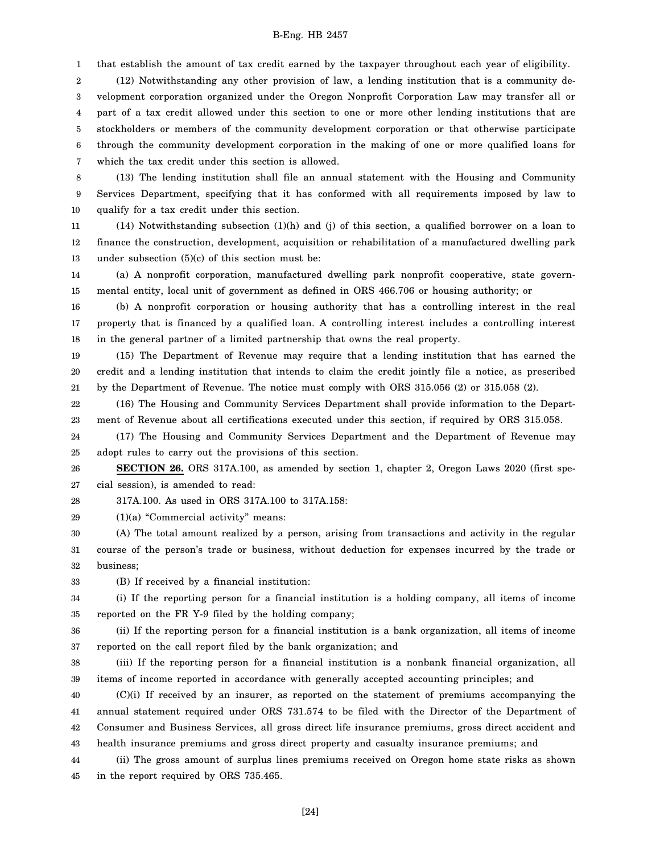1 that establish the amount of tax credit earned by the taxpayer throughout each year of eligibility.

2 3 4 5 6 7 (12) Notwithstanding any other provision of law, a lending institution that is a community development corporation organized under the Oregon Nonprofit Corporation Law may transfer all or part of a tax credit allowed under this section to one or more other lending institutions that are stockholders or members of the community development corporation or that otherwise participate through the community development corporation in the making of one or more qualified loans for which the tax credit under this section is allowed.

8 9 10 (13) The lending institution shall file an annual statement with the Housing and Community Services Department, specifying that it has conformed with all requirements imposed by law to qualify for a tax credit under this section.

11 12 13 (14) Notwithstanding subsection (1)(h) and (j) of this section, a qualified borrower on a loan to finance the construction, development, acquisition or rehabilitation of a manufactured dwelling park under subsection  $(5)(c)$  of this section must be:

14 15 (a) A nonprofit corporation, manufactured dwelling park nonprofit cooperative, state governmental entity, local unit of government as defined in ORS 466.706 or housing authority; or

16 17 18 (b) A nonprofit corporation or housing authority that has a controlling interest in the real property that is financed by a qualified loan. A controlling interest includes a controlling interest in the general partner of a limited partnership that owns the real property.

19 20 21 (15) The Department of Revenue may require that a lending institution that has earned the credit and a lending institution that intends to claim the credit jointly file a notice, as prescribed by the Department of Revenue. The notice must comply with ORS 315.056 (2) or 315.058 (2).

22 23 (16) The Housing and Community Services Department shall provide information to the Department of Revenue about all certifications executed under this section, if required by ORS 315.058.

24 25 (17) The Housing and Community Services Department and the Department of Revenue may adopt rules to carry out the provisions of this section.

26 27 **SECTION 26.** ORS 317A.100, as amended by section 1, chapter 2, Oregon Laws 2020 (first special session), is amended to read:

28 317A.100. As used in ORS 317A.100 to 317A.158:

29 (1)(a) "Commercial activity" means:

30 31 32 (A) The total amount realized by a person, arising from transactions and activity in the regular course of the person's trade or business, without deduction for expenses incurred by the trade or business;

33 (B) If received by a financial institution:

34 35 (i) If the reporting person for a financial institution is a holding company, all items of income reported on the FR Y-9 filed by the holding company;

36 37 (ii) If the reporting person for a financial institution is a bank organization, all items of income reported on the call report filed by the bank organization; and

38 39 (iii) If the reporting person for a financial institution is a nonbank financial organization, all items of income reported in accordance with generally accepted accounting principles; and

40 41 42 43 (C)(i) If received by an insurer, as reported on the statement of premiums accompanying the annual statement required under ORS 731.574 to be filed with the Director of the Department of Consumer and Business Services, all gross direct life insurance premiums, gross direct accident and health insurance premiums and gross direct property and casualty insurance premiums; and

44 45 (ii) The gross amount of surplus lines premiums received on Oregon home state risks as shown in the report required by ORS 735.465.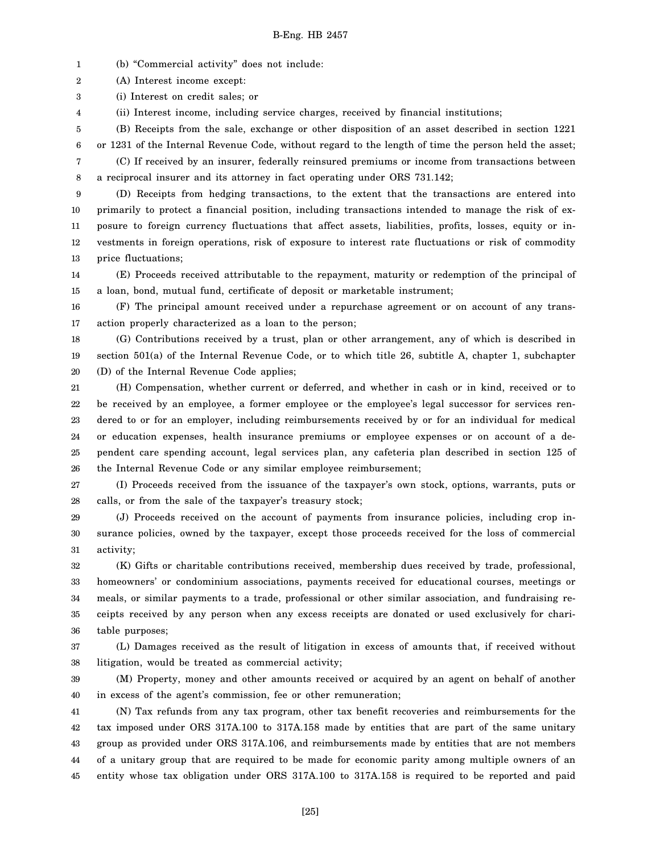1 (b) "Commercial activity" does not include:

2 (A) Interest income except:

3 (i) Interest on credit sales; or

4 (ii) Interest income, including service charges, received by financial institutions;

5 6 7 (B) Receipts from the sale, exchange or other disposition of an asset described in section 1221 or 1231 of the Internal Revenue Code, without regard to the length of time the person held the asset; (C) If received by an insurer, federally reinsured premiums or income from transactions between

8 a reciprocal insurer and its attorney in fact operating under ORS 731.142;

9 10 11 12 13 (D) Receipts from hedging transactions, to the extent that the transactions are entered into primarily to protect a financial position, including transactions intended to manage the risk of exposure to foreign currency fluctuations that affect assets, liabilities, profits, losses, equity or investments in foreign operations, risk of exposure to interest rate fluctuations or risk of commodity price fluctuations;

14 15 (E) Proceeds received attributable to the repayment, maturity or redemption of the principal of a loan, bond, mutual fund, certificate of deposit or marketable instrument;

16 17 (F) The principal amount received under a repurchase agreement or on account of any transaction properly characterized as a loan to the person;

18 19 20 (G) Contributions received by a trust, plan or other arrangement, any of which is described in section 501(a) of the Internal Revenue Code, or to which title 26, subtitle A, chapter 1, subchapter (D) of the Internal Revenue Code applies;

21 22 23 24 25 26 (H) Compensation, whether current or deferred, and whether in cash or in kind, received or to be received by an employee, a former employee or the employee's legal successor for services rendered to or for an employer, including reimbursements received by or for an individual for medical or education expenses, health insurance premiums or employee expenses or on account of a dependent care spending account, legal services plan, any cafeteria plan described in section 125 of the Internal Revenue Code or any similar employee reimbursement;

27 28 (I) Proceeds received from the issuance of the taxpayer's own stock, options, warrants, puts or calls, or from the sale of the taxpayer's treasury stock;

29 30 31 (J) Proceeds received on the account of payments from insurance policies, including crop insurance policies, owned by the taxpayer, except those proceeds received for the loss of commercial activity;

32 33 34 35 36 (K) Gifts or charitable contributions received, membership dues received by trade, professional, homeowners' or condominium associations, payments received for educational courses, meetings or meals, or similar payments to a trade, professional or other similar association, and fundraising receipts received by any person when any excess receipts are donated or used exclusively for charitable purposes;

37 38 (L) Damages received as the result of litigation in excess of amounts that, if received without litigation, would be treated as commercial activity;

39 40 (M) Property, money and other amounts received or acquired by an agent on behalf of another in excess of the agent's commission, fee or other remuneration;

41 42 43 44 45 (N) Tax refunds from any tax program, other tax benefit recoveries and reimbursements for the tax imposed under ORS 317A.100 to 317A.158 made by entities that are part of the same unitary group as provided under ORS 317A.106, and reimbursements made by entities that are not members of a unitary group that are required to be made for economic parity among multiple owners of an entity whose tax obligation under ORS 317A.100 to 317A.158 is required to be reported and paid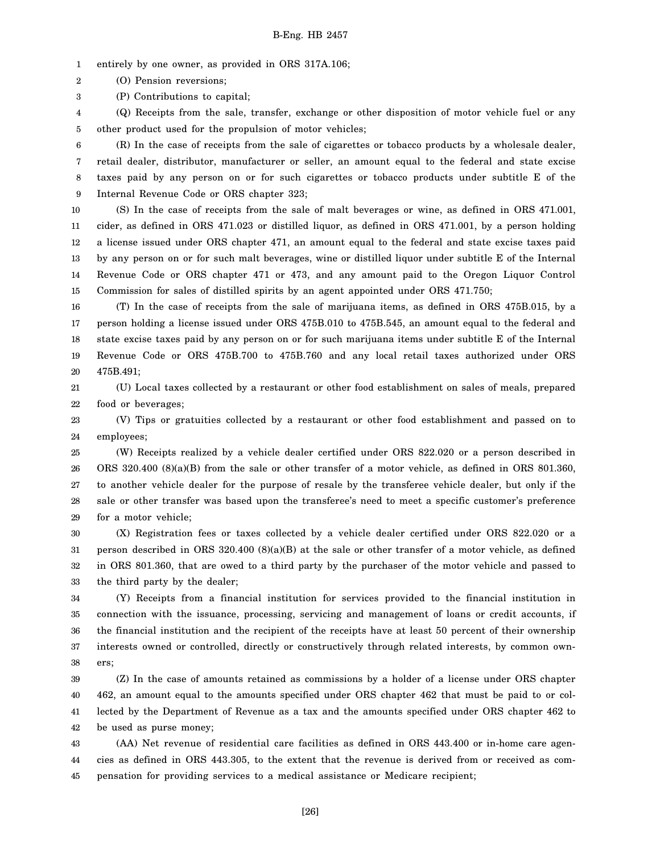1 entirely by one owner, as provided in ORS 317A.106;

2 (O) Pension reversions;

3 (P) Contributions to capital;

4 5 (Q) Receipts from the sale, transfer, exchange or other disposition of motor vehicle fuel or any other product used for the propulsion of motor vehicles;

6 7 8 9 (R) In the case of receipts from the sale of cigarettes or tobacco products by a wholesale dealer, retail dealer, distributor, manufacturer or seller, an amount equal to the federal and state excise taxes paid by any person on or for such cigarettes or tobacco products under subtitle E of the Internal Revenue Code or ORS chapter 323;

10 11 12 13 14 15 (S) In the case of receipts from the sale of malt beverages or wine, as defined in ORS 471.001, cider, as defined in ORS 471.023 or distilled liquor, as defined in ORS 471.001, by a person holding a license issued under ORS chapter 471, an amount equal to the federal and state excise taxes paid by any person on or for such malt beverages, wine or distilled liquor under subtitle E of the Internal Revenue Code or ORS chapter 471 or 473, and any amount paid to the Oregon Liquor Control Commission for sales of distilled spirits by an agent appointed under ORS 471.750;

16 17 18 19 20 (T) In the case of receipts from the sale of marijuana items, as defined in ORS 475B.015, by a person holding a license issued under ORS 475B.010 to 475B.545, an amount equal to the federal and state excise taxes paid by any person on or for such marijuana items under subtitle E of the Internal Revenue Code or ORS 475B.700 to 475B.760 and any local retail taxes authorized under ORS 475B.491;

21 22 (U) Local taxes collected by a restaurant or other food establishment on sales of meals, prepared food or beverages;

23 24 (V) Tips or gratuities collected by a restaurant or other food establishment and passed on to employees;

25 26 27 28 29 (W) Receipts realized by a vehicle dealer certified under ORS 822.020 or a person described in ORS 320.400 (8)(a)(B) from the sale or other transfer of a motor vehicle, as defined in ORS 801.360, to another vehicle dealer for the purpose of resale by the transferee vehicle dealer, but only if the sale or other transfer was based upon the transferee's need to meet a specific customer's preference for a motor vehicle;

30 31 32 33 (X) Registration fees or taxes collected by a vehicle dealer certified under ORS 822.020 or a person described in ORS 320.400 (8)(a)(B) at the sale or other transfer of a motor vehicle, as defined in ORS 801.360, that are owed to a third party by the purchaser of the motor vehicle and passed to the third party by the dealer;

34 35 36 37 38 (Y) Receipts from a financial institution for services provided to the financial institution in connection with the issuance, processing, servicing and management of loans or credit accounts, if the financial institution and the recipient of the receipts have at least 50 percent of their ownership interests owned or controlled, directly or constructively through related interests, by common owners;

39 40 41 42 (Z) In the case of amounts retained as commissions by a holder of a license under ORS chapter 462, an amount equal to the amounts specified under ORS chapter 462 that must be paid to or collected by the Department of Revenue as a tax and the amounts specified under ORS chapter 462 to be used as purse money;

43 44 45 (AA) Net revenue of residential care facilities as defined in ORS 443.400 or in-home care agencies as defined in ORS 443.305, to the extent that the revenue is derived from or received as compensation for providing services to a medical assistance or Medicare recipient;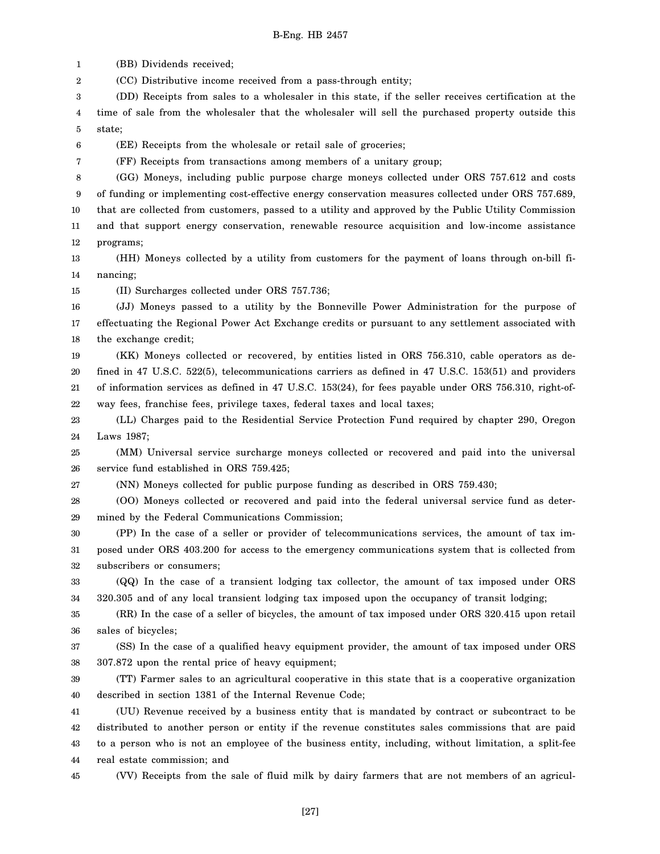(BB) Dividends received; (CC) Distributive income received from a pass-through entity; (DD) Receipts from sales to a wholesaler in this state, if the seller receives certification at the

4 5 time of sale from the wholesaler that the wholesaler will sell the purchased property outside this state;

6 (EE) Receipts from the wholesale or retail sale of groceries;

(FF) Receipts from transactions among members of a unitary group;

8 9 10 11 12 (GG) Moneys, including public purpose charge moneys collected under ORS 757.612 and costs of funding or implementing cost-effective energy conservation measures collected under ORS 757.689, that are collected from customers, passed to a utility and approved by the Public Utility Commission and that support energy conservation, renewable resource acquisition and low-income assistance programs;

13 14 (HH) Moneys collected by a utility from customers for the payment of loans through on-bill financing;

15 (II) Surcharges collected under ORS 757.736;

16 17 18 (JJ) Moneys passed to a utility by the Bonneville Power Administration for the purpose of effectuating the Regional Power Act Exchange credits or pursuant to any settlement associated with the exchange credit;

19 20 21 22 (KK) Moneys collected or recovered, by entities listed in ORS 756.310, cable operators as defined in 47 U.S.C. 522(5), telecommunications carriers as defined in 47 U.S.C. 153(51) and providers of information services as defined in 47 U.S.C. 153(24), for fees payable under ORS 756.310, right-ofway fees, franchise fees, privilege taxes, federal taxes and local taxes;

23 24 (LL) Charges paid to the Residential Service Protection Fund required by chapter 290, Oregon Laws 1987;

25 26 (MM) Universal service surcharge moneys collected or recovered and paid into the universal service fund established in ORS 759.425;

27 (NN) Moneys collected for public purpose funding as described in ORS 759.430;

28 29 (OO) Moneys collected or recovered and paid into the federal universal service fund as determined by the Federal Communications Commission;

30 31 32 (PP) In the case of a seller or provider of telecommunications services, the amount of tax imposed under ORS 403.200 for access to the emergency communications system that is collected from subscribers or consumers;

33 34 (QQ) In the case of a transient lodging tax collector, the amount of tax imposed under ORS 320.305 and of any local transient lodging tax imposed upon the occupancy of transit lodging;

35 36 (RR) In the case of a seller of bicycles, the amount of tax imposed under ORS 320.415 upon retail sales of bicycles;

37 38 (SS) In the case of a qualified heavy equipment provider, the amount of tax imposed under ORS 307.872 upon the rental price of heavy equipment;

39 40 (TT) Farmer sales to an agricultural cooperative in this state that is a cooperative organization described in section 1381 of the Internal Revenue Code;

41 42 43 44 (UU) Revenue received by a business entity that is mandated by contract or subcontract to be distributed to another person or entity if the revenue constitutes sales commissions that are paid to a person who is not an employee of the business entity, including, without limitation, a split-fee real estate commission; and

45 (VV) Receipts from the sale of fluid milk by dairy farmers that are not members of an agricul-

1 2 3

7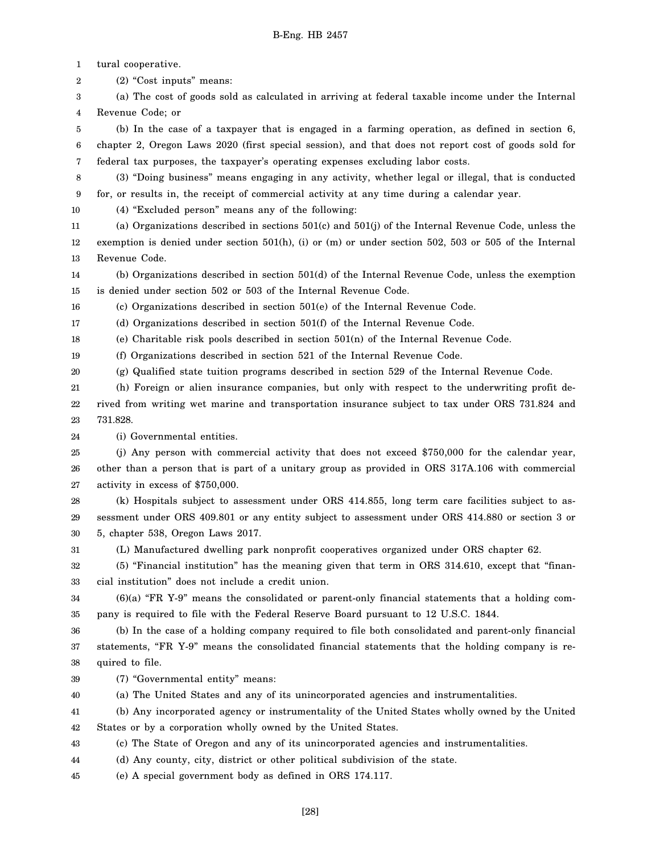1 tural cooperative.

2 (2) "Cost inputs" means:

3 4 (a) The cost of goods sold as calculated in arriving at federal taxable income under the Internal Revenue Code; or

5 6 7 (b) In the case of a taxpayer that is engaged in a farming operation, as defined in section 6, chapter 2, Oregon Laws 2020 (first special session), and that does not report cost of goods sold for federal tax purposes, the taxpayer's operating expenses excluding labor costs.

8 9 (3) "Doing business" means engaging in any activity, whether legal or illegal, that is conducted for, or results in, the receipt of commercial activity at any time during a calendar year.

10 (4) "Excluded person" means any of the following:

11 12 13 (a) Organizations described in sections 501(c) and 501(j) of the Internal Revenue Code, unless the exemption is denied under section 501(h), (i) or (m) or under section 502, 503 or 505 of the Internal Revenue Code.

14 15 (b) Organizations described in section 501(d) of the Internal Revenue Code, unless the exemption is denied under section 502 or 503 of the Internal Revenue Code.

16 (c) Organizations described in section 501(e) of the Internal Revenue Code.

17 (d) Organizations described in section 501(f) of the Internal Revenue Code.

18 (e) Charitable risk pools described in section 501(n) of the Internal Revenue Code.

19 (f) Organizations described in section 521 of the Internal Revenue Code.

20 (g) Qualified state tuition programs described in section 529 of the Internal Revenue Code.

21 22 23 (h) Foreign or alien insurance companies, but only with respect to the underwriting profit derived from writing wet marine and transportation insurance subject to tax under ORS 731.824 and 731.828.

24 (i) Governmental entities.

25 26 27 (j) Any person with commercial activity that does not exceed \$750,000 for the calendar year, other than a person that is part of a unitary group as provided in ORS 317A.106 with commercial activity in excess of \$750,000.

28 29 30 (k) Hospitals subject to assessment under ORS 414.855, long term care facilities subject to assessment under ORS 409.801 or any entity subject to assessment under ORS 414.880 or section 3 or 5, chapter 538, Oregon Laws 2017.

31 (L) Manufactured dwelling park nonprofit cooperatives organized under ORS chapter 62.

32 33 (5) "Financial institution" has the meaning given that term in ORS 314.610, except that "financial institution" does not include a credit union.

34 35 (6)(a) "FR Y-9" means the consolidated or parent-only financial statements that a holding company is required to file with the Federal Reserve Board pursuant to 12 U.S.C. 1844.

36 37 38 (b) In the case of a holding company required to file both consolidated and parent-only financial statements, "FR Y-9" means the consolidated financial statements that the holding company is required to file.

- 39 (7) "Governmental entity" means:
- 40 (a) The United States and any of its unincorporated agencies and instrumentalities.

41 42 (b) Any incorporated agency or instrumentality of the United States wholly owned by the United States or by a corporation wholly owned by the United States.

43 (c) The State of Oregon and any of its unincorporated agencies and instrumentalities.

44 (d) Any county, city, district or other political subdivision of the state.

45 (e) A special government body as defined in ORS 174.117.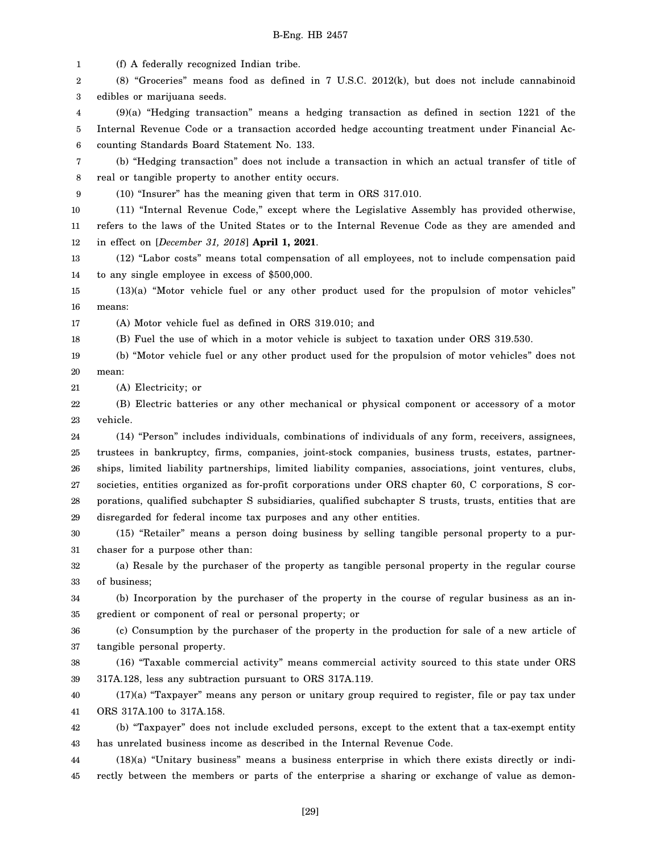1 2 3 4 5 6 7 8 9 10 11 12 13 14 15 16 17 18 19 20 21 22 23 24 25 26 27 28 29 30 31 32 33 34 35 36 37 38 39 40 41 (f) A federally recognized Indian tribe. (8) "Groceries" means food as defined in 7 U.S.C. 2012(k), but does not include cannabinoid edibles or marijuana seeds. (9)(a) "Hedging transaction" means a hedging transaction as defined in section 1221 of the Internal Revenue Code or a transaction accorded hedge accounting treatment under Financial Accounting Standards Board Statement No. 133. (b) "Hedging transaction" does not include a transaction in which an actual transfer of title of real or tangible property to another entity occurs. (10) "Insurer" has the meaning given that term in ORS 317.010. (11) "Internal Revenue Code," except where the Legislative Assembly has provided otherwise, refers to the laws of the United States or to the Internal Revenue Code as they are amended and in effect on [*December 31, 2018*] **April 1, 2021**. (12) "Labor costs" means total compensation of all employees, not to include compensation paid to any single employee in excess of \$500,000. (13)(a) "Motor vehicle fuel or any other product used for the propulsion of motor vehicles" means: (A) Motor vehicle fuel as defined in ORS 319.010; and (B) Fuel the use of which in a motor vehicle is subject to taxation under ORS 319.530. (b) "Motor vehicle fuel or any other product used for the propulsion of motor vehicles" does not mean: (A) Electricity; or (B) Electric batteries or any other mechanical or physical component or accessory of a motor vehicle. (14) "Person" includes individuals, combinations of individuals of any form, receivers, assignees, trustees in bankruptcy, firms, companies, joint-stock companies, business trusts, estates, partnerships, limited liability partnerships, limited liability companies, associations, joint ventures, clubs, societies, entities organized as for-profit corporations under ORS chapter 60, C corporations, S corporations, qualified subchapter S subsidiaries, qualified subchapter S trusts, trusts, entities that are disregarded for federal income tax purposes and any other entities. (15) "Retailer" means a person doing business by selling tangible personal property to a purchaser for a purpose other than: (a) Resale by the purchaser of the property as tangible personal property in the regular course of business; (b) Incorporation by the purchaser of the property in the course of regular business as an ingredient or component of real or personal property; or (c) Consumption by the purchaser of the property in the production for sale of a new article of tangible personal property. (16) "Taxable commercial activity" means commercial activity sourced to this state under ORS 317A.128, less any subtraction pursuant to ORS 317A.119. (17)(a) "Taxpayer" means any person or unitary group required to register, file or pay tax under ORS 317A.100 to 317A.158.

42 43 (b) "Taxpayer" does not include excluded persons, except to the extent that a tax-exempt entity has unrelated business income as described in the Internal Revenue Code.

44 45 (18)(a) "Unitary business" means a business enterprise in which there exists directly or indirectly between the members or parts of the enterprise a sharing or exchange of value as demon-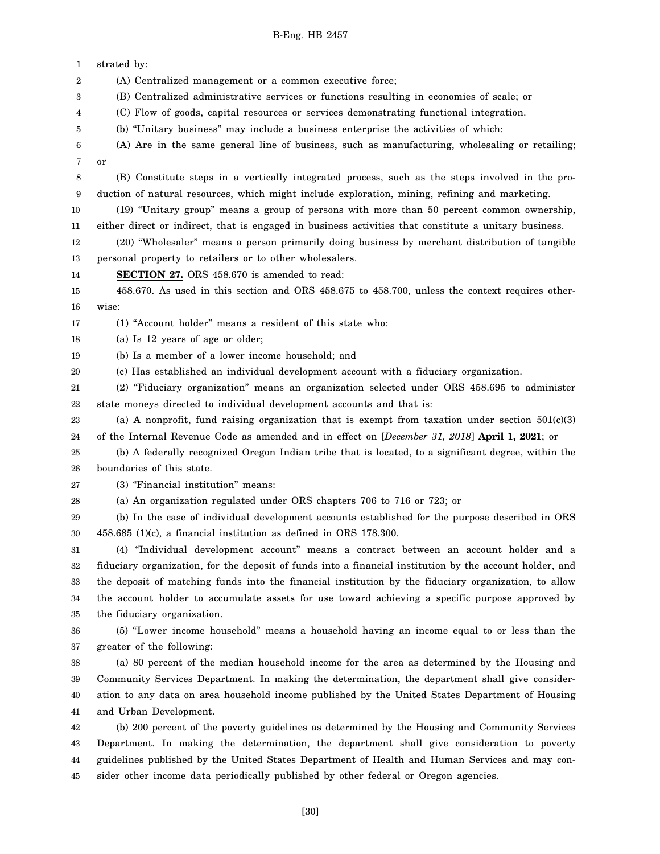1 2 3 4 5 6 7 8 9 10 11 12 13 14 15 16 17 18 19 20 21 22 23 24 25 26 27 28 29 30 31 32 33 34 35 36 37 38 39 40 41 42 43 44 45 strated by: (A) Centralized management or a common executive force; (B) Centralized administrative services or functions resulting in economies of scale; or (C) Flow of goods, capital resources or services demonstrating functional integration. (b) "Unitary business" may include a business enterprise the activities of which: (A) Are in the same general line of business, such as manufacturing, wholesaling or retailing; or (B) Constitute steps in a vertically integrated process, such as the steps involved in the production of natural resources, which might include exploration, mining, refining and marketing. (19) "Unitary group" means a group of persons with more than 50 percent common ownership, either direct or indirect, that is engaged in business activities that constitute a unitary business. (20) "Wholesaler" means a person primarily doing business by merchant distribution of tangible personal property to retailers or to other wholesalers. **SECTION 27.** ORS 458.670 is amended to read: 458.670. As used in this section and ORS 458.675 to 458.700, unless the context requires otherwise: (1) "Account holder" means a resident of this state who: (a) Is 12 years of age or older; (b) Is a member of a lower income household; and (c) Has established an individual development account with a fiduciary organization. (2) "Fiduciary organization" means an organization selected under ORS 458.695 to administer state moneys directed to individual development accounts and that is: (a) A nonprofit, fund raising organization that is exempt from taxation under section  $501(c)(3)$ of the Internal Revenue Code as amended and in effect on [*December 31, 2018*] **April 1, 2021**; or (b) A federally recognized Oregon Indian tribe that is located, to a significant degree, within the boundaries of this state. (3) "Financial institution" means: (a) An organization regulated under ORS chapters 706 to 716 or 723; or (b) In the case of individual development accounts established for the purpose described in ORS 458.685 (1)(c), a financial institution as defined in ORS 178.300. (4) "Individual development account" means a contract between an account holder and a fiduciary organization, for the deposit of funds into a financial institution by the account holder, and the deposit of matching funds into the financial institution by the fiduciary organization, to allow the account holder to accumulate assets for use toward achieving a specific purpose approved by the fiduciary organization. (5) "Lower income household" means a household having an income equal to or less than the greater of the following: (a) 80 percent of the median household income for the area as determined by the Housing and Community Services Department. In making the determination, the department shall give consideration to any data on area household income published by the United States Department of Housing and Urban Development. (b) 200 percent of the poverty guidelines as determined by the Housing and Community Services Department. In making the determination, the department shall give consideration to poverty guidelines published by the United States Department of Health and Human Services and may consider other income data periodically published by other federal or Oregon agencies.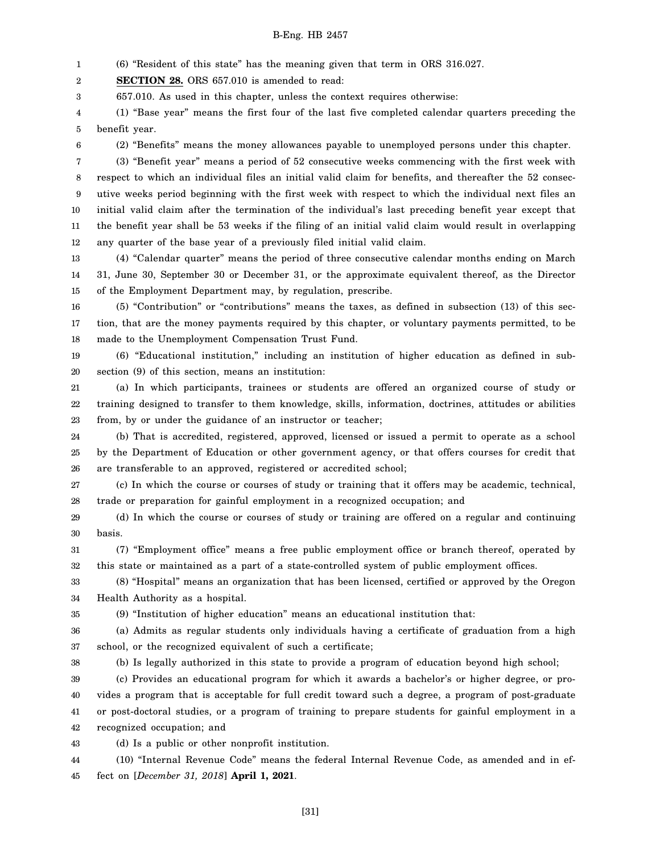1 (6) "Resident of this state" has the meaning given that term in ORS 316.027.

2 **SECTION 28.** ORS 657.010 is amended to read:

3 657.010. As used in this chapter, unless the context requires otherwise:

4 5 (1) "Base year" means the first four of the last five completed calendar quarters preceding the benefit year.

6

(2) "Benefits" means the money allowances payable to unemployed persons under this chapter.

7 8 9 10 11 12 (3) "Benefit year" means a period of 52 consecutive weeks commencing with the first week with respect to which an individual files an initial valid claim for benefits, and thereafter the 52 consecutive weeks period beginning with the first week with respect to which the individual next files an initial valid claim after the termination of the individual's last preceding benefit year except that the benefit year shall be 53 weeks if the filing of an initial valid claim would result in overlapping any quarter of the base year of a previously filed initial valid claim.

13 14 15 (4) "Calendar quarter" means the period of three consecutive calendar months ending on March 31, June 30, September 30 or December 31, or the approximate equivalent thereof, as the Director of the Employment Department may, by regulation, prescribe.

16 17 18 (5) "Contribution" or "contributions" means the taxes, as defined in subsection (13) of this section, that are the money payments required by this chapter, or voluntary payments permitted, to be made to the Unemployment Compensation Trust Fund.

19 20 (6) "Educational institution," including an institution of higher education as defined in subsection (9) of this section, means an institution:

21 22 23 (a) In which participants, trainees or students are offered an organized course of study or training designed to transfer to them knowledge, skills, information, doctrines, attitudes or abilities from, by or under the guidance of an instructor or teacher;

24 25 26 (b) That is accredited, registered, approved, licensed or issued a permit to operate as a school by the Department of Education or other government agency, or that offers courses for credit that are transferable to an approved, registered or accredited school;

27 28 (c) In which the course or courses of study or training that it offers may be academic, technical, trade or preparation for gainful employment in a recognized occupation; and

29 30 (d) In which the course or courses of study or training are offered on a regular and continuing basis.

31 32 (7) "Employment office" means a free public employment office or branch thereof, operated by this state or maintained as a part of a state-controlled system of public employment offices.

33 34 (8) "Hospital" means an organization that has been licensed, certified or approved by the Oregon Health Authority as a hospital.

35

(9) "Institution of higher education" means an educational institution that:

36 37 (a) Admits as regular students only individuals having a certificate of graduation from a high school, or the recognized equivalent of such a certificate;

38

(b) Is legally authorized in this state to provide a program of education beyond high school;

39 40 41 42 (c) Provides an educational program for which it awards a bachelor's or higher degree, or provides a program that is acceptable for full credit toward such a degree, a program of post-graduate or post-doctoral studies, or a program of training to prepare students for gainful employment in a recognized occupation; and

43 (d) Is a public or other nonprofit institution.

44 45 (10) "Internal Revenue Code" means the federal Internal Revenue Code, as amended and in effect on [*December 31, 2018*] **April 1, 2021**.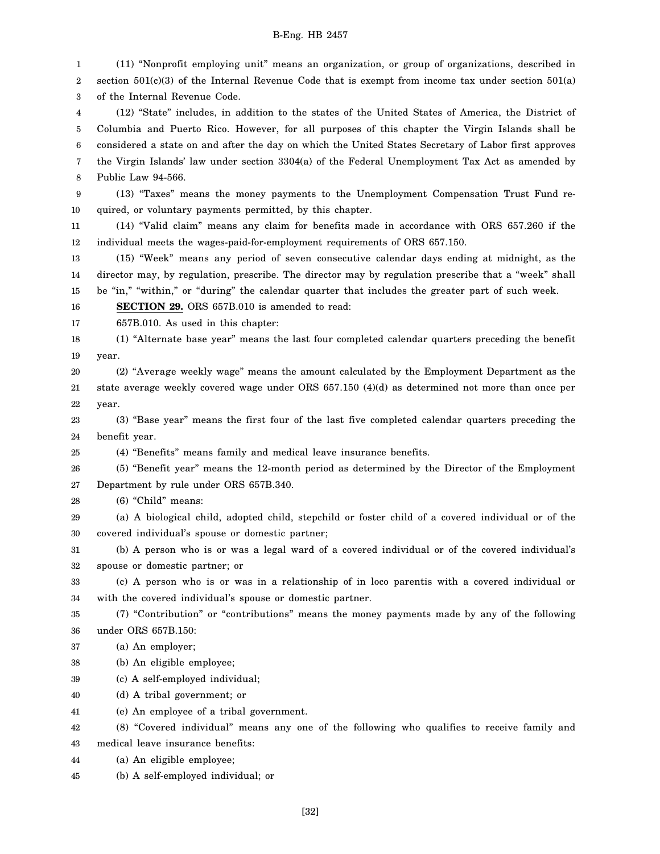1  $\mathfrak{D}$ 3 4 5 6 7 8 9 10 11 12 13 14 15 16 17 18 19 20 21 22 23 24 25 26 27 28 29 30 31 32 33 34 35 36 37 38 39 40 41 42 43 44 45 (11) "Nonprofit employing unit" means an organization, or group of organizations, described in section 501(c)(3) of the Internal Revenue Code that is exempt from income tax under section 501(a) of the Internal Revenue Code. (12) "State" includes, in addition to the states of the United States of America, the District of Columbia and Puerto Rico. However, for all purposes of this chapter the Virgin Islands shall be considered a state on and after the day on which the United States Secretary of Labor first approves the Virgin Islands' law under section 3304(a) of the Federal Unemployment Tax Act as amended by Public Law 94-566. (13) "Taxes" means the money payments to the Unemployment Compensation Trust Fund required, or voluntary payments permitted, by this chapter. (14) "Valid claim" means any claim for benefits made in accordance with ORS 657.260 if the individual meets the wages-paid-for-employment requirements of ORS 657.150. (15) "Week" means any period of seven consecutive calendar days ending at midnight, as the director may, by regulation, prescribe. The director may by regulation prescribe that a "week" shall be "in," "within," or "during" the calendar quarter that includes the greater part of such week. **SECTION 29.** ORS 657B.010 is amended to read: 657B.010. As used in this chapter: (1) "Alternate base year" means the last four completed calendar quarters preceding the benefit year. (2) "Average weekly wage" means the amount calculated by the Employment Department as the state average weekly covered wage under ORS 657.150 (4)(d) as determined not more than once per year. (3) "Base year" means the first four of the last five completed calendar quarters preceding the benefit year. (4) "Benefits" means family and medical leave insurance benefits. (5) "Benefit year" means the 12-month period as determined by the Director of the Employment Department by rule under ORS 657B.340. (6) "Child" means: (a) A biological child, adopted child, stepchild or foster child of a covered individual or of the covered individual's spouse or domestic partner; (b) A person who is or was a legal ward of a covered individual or of the covered individual's spouse or domestic partner; or (c) A person who is or was in a relationship of in loco parentis with a covered individual or with the covered individual's spouse or domestic partner. (7) "Contribution" or "contributions" means the money payments made by any of the following under ORS 657B.150: (a) An employer; (b) An eligible employee; (c) A self-employed individual; (d) A tribal government; or (e) An employee of a tribal government. (8) "Covered individual" means any one of the following who qualifies to receive family and medical leave insurance benefits: (a) An eligible employee; (b) A self-employed individual; or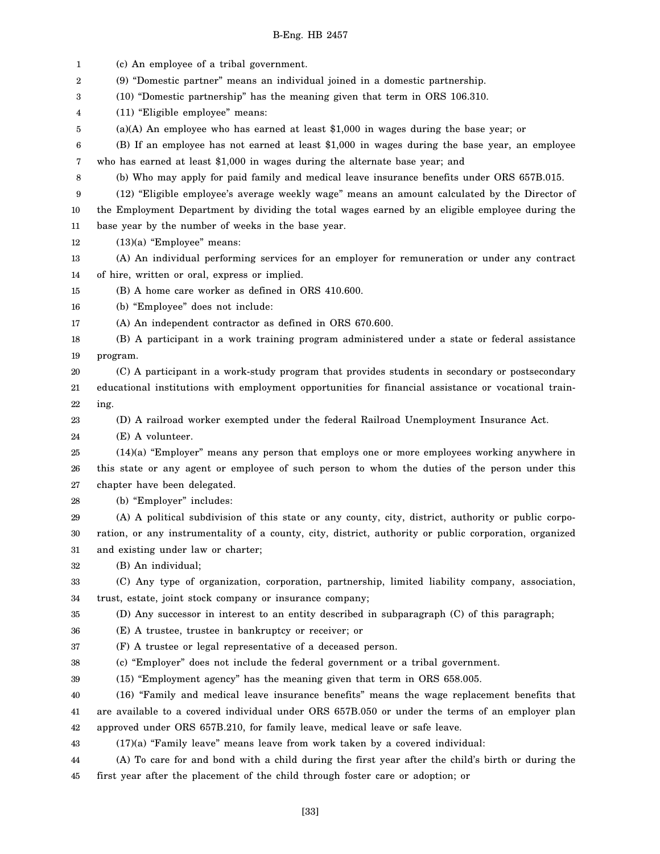1 2 3 4 5 6 7 8 9 10 11 12 13 14 15 16 17 18 19 20 21 22 23 24 25 26 27 28 29 30 31 32 33 34 35 36 37 38 39 40 41 42 43 (c) An employee of a tribal government. (9) "Domestic partner" means an individual joined in a domestic partnership. (10) "Domestic partnership" has the meaning given that term in ORS 106.310. (11) "Eligible employee" means: (a)(A) An employee who has earned at least \$1,000 in wages during the base year; or (B) If an employee has not earned at least \$1,000 in wages during the base year, an employee who has earned at least \$1,000 in wages during the alternate base year; and (b) Who may apply for paid family and medical leave insurance benefits under ORS 657B.015. (12) "Eligible employee's average weekly wage" means an amount calculated by the Director of the Employment Department by dividing the total wages earned by an eligible employee during the base year by the number of weeks in the base year. (13)(a) "Employee" means: (A) An individual performing services for an employer for remuneration or under any contract of hire, written or oral, express or implied. (B) A home care worker as defined in ORS 410.600. (b) "Employee" does not include: (A) An independent contractor as defined in ORS 670.600. (B) A participant in a work training program administered under a state or federal assistance program. (C) A participant in a work-study program that provides students in secondary or postsecondary educational institutions with employment opportunities for financial assistance or vocational training. (D) A railroad worker exempted under the federal Railroad Unemployment Insurance Act. (E) A volunteer. (14)(a) "Employer" means any person that employs one or more employees working anywhere in this state or any agent or employee of such person to whom the duties of the person under this chapter have been delegated. (b) "Employer" includes: (A) A political subdivision of this state or any county, city, district, authority or public corporation, or any instrumentality of a county, city, district, authority or public corporation, organized and existing under law or charter; (B) An individual; (C) Any type of organization, corporation, partnership, limited liability company, association, trust, estate, joint stock company or insurance company; (D) Any successor in interest to an entity described in subparagraph (C) of this paragraph; (E) A trustee, trustee in bankruptcy or receiver; or (F) A trustee or legal representative of a deceased person. (c) "Employer" does not include the federal government or a tribal government. (15) "Employment agency" has the meaning given that term in ORS 658.005. (16) "Family and medical leave insurance benefits" means the wage replacement benefits that are available to a covered individual under ORS 657B.050 or under the terms of an employer plan approved under ORS 657B.210, for family leave, medical leave or safe leave. (17)(a) "Family leave" means leave from work taken by a covered individual:

44 45 (A) To care for and bond with a child during the first year after the child's birth or during the first year after the placement of the child through foster care or adoption; or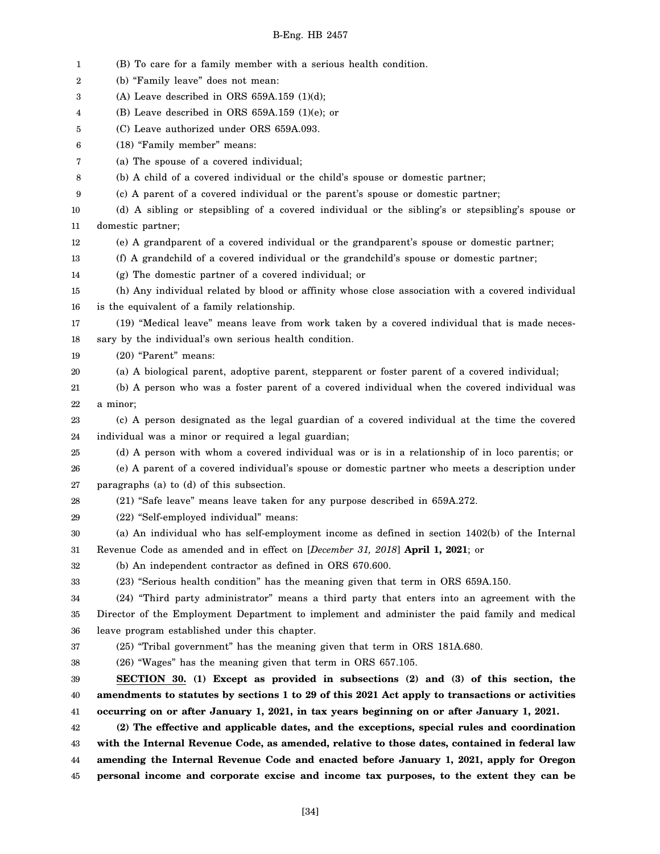1 2 3 4 5 6 7 8 9 10 11 12 13 14 15 16 17 18 19 20 21 22 23 24 25 26 27 28 29 30 31 32 33 34 35 36 37 38 39 40 41 42 43 44 45 (B) To care for a family member with a serious health condition. (b) "Family leave" does not mean: (A) Leave described in ORS  $659A.159$  (1)(d); (B) Leave described in ORS 659A.159 (1)(e); or (C) Leave authorized under ORS 659A.093. (18) "Family member" means: (a) The spouse of a covered individual; (b) A child of a covered individual or the child's spouse or domestic partner; (c) A parent of a covered individual or the parent's spouse or domestic partner; (d) A sibling or stepsibling of a covered individual or the sibling's or stepsibling's spouse or domestic partner; (e) A grandparent of a covered individual or the grandparent's spouse or domestic partner; (f) A grandchild of a covered individual or the grandchild's spouse or domestic partner; (g) The domestic partner of a covered individual; or (h) Any individual related by blood or affinity whose close association with a covered individual is the equivalent of a family relationship. (19) "Medical leave" means leave from work taken by a covered individual that is made necessary by the individual's own serious health condition. (20) "Parent" means: (a) A biological parent, adoptive parent, stepparent or foster parent of a covered individual; (b) A person who was a foster parent of a covered individual when the covered individual was a minor; (c) A person designated as the legal guardian of a covered individual at the time the covered individual was a minor or required a legal guardian; (d) A person with whom a covered individual was or is in a relationship of in loco parentis; or (e) A parent of a covered individual's spouse or domestic partner who meets a description under paragraphs (a) to (d) of this subsection. (21) "Safe leave" means leave taken for any purpose described in 659A.272. (22) "Self-employed individual" means: (a) An individual who has self-employment income as defined in section 1402(b) of the Internal Revenue Code as amended and in effect on [*December 31, 2018*] **April 1, 2021**; or (b) An independent contractor as defined in ORS 670.600. (23) "Serious health condition" has the meaning given that term in ORS 659A.150. (24) "Third party administrator" means a third party that enters into an agreement with the Director of the Employment Department to implement and administer the paid family and medical leave program established under this chapter. (25) "Tribal government" has the meaning given that term in ORS 181A.680. (26) "Wages" has the meaning given that term in ORS 657.105. **SECTION 30. (1) Except as provided in subsections (2) and (3) of this section, the amendments to statutes by sections 1 to 29 of this 2021 Act apply to transactions or activities occurring on or after January 1, 2021, in tax years beginning on or after January 1, 2021. (2) The effective and applicable dates, and the exceptions, special rules and coordination with the Internal Revenue Code, as amended, relative to those dates, contained in federal law amending the Internal Revenue Code and enacted before January 1, 2021, apply for Oregon personal income and corporate excise and income tax purposes, to the extent they can be**